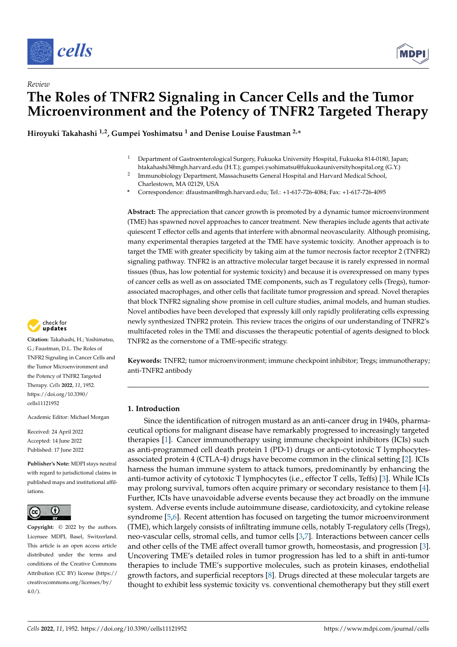



# *Review* **The Roles of TNFR2 Signaling in Cancer Cells and the Tumor Microenvironment and the Potency of TNFR2 Targeted Therapy**

**Hiroyuki Takahashi 1,2, Gumpei Yoshimatsu <sup>1</sup> and Denise Louise Faustman 2,\***

- <sup>1</sup> Department of Gastroenterological Surgery, Fukuoka University Hospital, Fukuoka 814-0180, Japan; htakahashi3@mgh.harvard.edu (H.T.); gumpei.ysohimatsu@fukuokauniversityhospital.org (G.Y.)
- 2 Immunobiology Department, Massachusetts General Hospital and Harvard Medical School, Charlestown, MA 02129, USA
- **\*** Correspondence: dfaustman@mgh.harvard.edu; Tel.: +1-617-726-4084; Fax: +1-617-726-4095

**Abstract:** The appreciation that cancer growth is promoted by a dynamic tumor microenvironment (TME) has spawned novel approaches to cancer treatment. New therapies include agents that activate quiescent T effector cells and agents that interfere with abnormal neovascularity. Although promising, many experimental therapies targeted at the TME have systemic toxicity. Another approach is to target the TME with greater specificity by taking aim at the tumor necrosis factor receptor 2 (TNFR2) signaling pathway. TNFR2 is an attractive molecular target because it is rarely expressed in normal tissues (thus, has low potential for systemic toxicity) and because it is overexpressed on many types of cancer cells as well as on associated TME components, such as T regulatory cells (Tregs), tumorassociated macrophages, and other cells that facilitate tumor progression and spread. Novel therapies that block TNFR2 signaling show promise in cell culture studies, animal models, and human studies. Novel antibodies have been developed that expressly kill only rapidly proliferating cells expressing newly synthesized TNFR2 protein. This review traces the origins of our understanding of TNFR2's multifaceted roles in the TME and discusses the therapeutic potential of agents designed to block TNFR2 as the cornerstone of a TME-specific strategy.

**Keywords:** TNFR2; tumor microenvironment; immune checkpoint inhibitor; Tregs; immunotherapy; anti-TNFR2 antibody

# **1. Introduction**

Since the identification of nitrogen mustard as an anti-cancer drug in 1940s, pharmaceutical options for malignant disease have remarkably progressed to increasingly targeted therapies [\[1\]](#page-16-0). Cancer immunotherapy using immune checkpoint inhibitors (ICIs) such as anti-programmed cell death protein 1 (PD-1) drugs or anti-cytotoxic T lymphocytesassociated protein 4 (CTLA-4) drugs have become common in the clinical setting [\[2\]](#page-16-1). ICIs harness the human immune system to attack tumors, predominantly by enhancing the anti-tumor activity of cytotoxic T lymphocytes (i.e., effector T cells, Teffs) [\[3\]](#page-16-2). While ICIs may prolong survival, tumors often acquire primary or secondary resistance to them [\[4\]](#page-16-3). Further, ICIs have unavoidable adverse events because they act broadly on the immune system. Adverse events include autoimmune disease, cardiotoxicity, and cytokine release syndrome [\[5,](#page-16-4)[6\]](#page-16-5). Recent attention has focused on targeting the tumor microenvironment (TME), which largely consists of infiltrating immune cells, notably T-regulatory cells (Tregs), neo-vascular cells, stromal cells, and tumor cells [\[3](#page-16-2)[,7\]](#page-16-6). Interactions between cancer cells and other cells of the TME affect overall tumor growth, homeostasis, and progression [\[3\]](#page-16-2). Uncovering TME's detailed roles in tumor progression has led to a shift in anti-tumor therapies to include TME's supportive molecules, such as protein kinases, endothelial growth factors, and superficial receptors [\[8\]](#page-16-7). Drugs directed at these molecular targets are thought to exhibit less systemic toxicity vs. conventional chemotherapy but they still exert



**Citation:** Takahashi, H.; Yoshimatsu, G.; Faustman, D.L. The Roles of TNFR2 Signaling in Cancer Cells and the Tumor Microenvironment and the Potency of TNFR2 Targeted Therapy. *Cells* **2022**, *11*, 1952. [https://doi.org/10.3390/](https://doi.org/10.3390/cells11121952) [cells11121952](https://doi.org/10.3390/cells11121952)

Academic Editor: Michael Morgan

Received: 24 April 2022 Accepted: 14 June 2022 Published: 17 June 2022

**Publisher's Note:** MDPI stays neutral with regard to jurisdictional claims in published maps and institutional affiliations.



**Copyright:** © 2022 by the authors. Licensee MDPI, Basel, Switzerland. This article is an open access article distributed under the terms and conditions of the Creative Commons Attribution (CC BY) license [\(https://](https://creativecommons.org/licenses/by/4.0/) [creativecommons.org/licenses/by/](https://creativecommons.org/licenses/by/4.0/)  $4.0/$ ).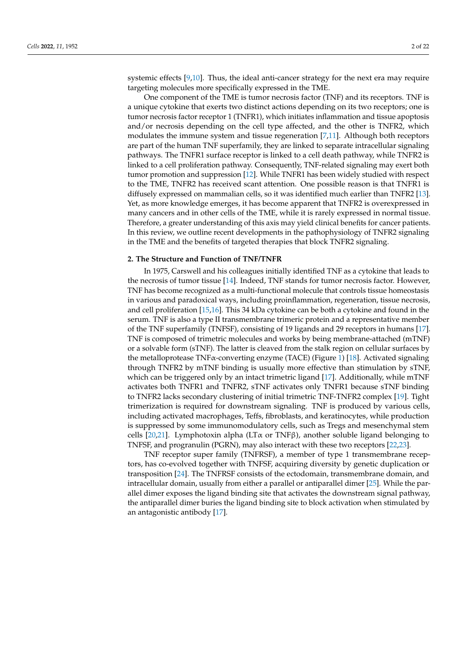systemic effects [\[9](#page-16-8)[,10\]](#page-16-9). Thus, the ideal anti-cancer strategy for the next era may require targeting molecules more specifically expressed in the TME.

One component of the TME is tumor necrosis factor (TNF) and its receptors. TNF is a unique cytokine that exerts two distinct actions depending on its two receptors; one is tumor necrosis factor receptor 1 (TNFR1), which initiates inflammation and tissue apoptosis and/or necrosis depending on the cell type affected, and the other is TNFR2, which modulates the immune system and tissue regeneration [\[7,](#page-16-6)[11\]](#page-16-10). Although both receptors are part of the human TNF superfamily, they are linked to separate intracellular signaling pathways. The TNFR1 surface receptor is linked to a cell death pathway, while TNFR2 is linked to a cell proliferation pathway. Consequently, TNF-related signaling may exert both tumor promotion and suppression [\[12\]](#page-16-11). While TNFR1 has been widely studied with respect to the TME, TNFR2 has received scant attention. One possible reason is that TNFR1 is diffusely expressed on mammalian cells, so it was identified much earlier than TNFR2 [\[13\]](#page-16-12). Yet, as more knowledge emerges, it has become apparent that TNFR2 is overexpressed in many cancers and in other cells of the TME, while it is rarely expressed in normal tissue. Therefore, a greater understanding of this axis may yield clinical benefits for cancer patients. In this review, we outline recent developments in the pathophysiology of TNFR2 signaling in the TME and the benefits of targeted therapies that block TNFR2 signaling.

#### **2. The Structure and Function of TNF/TNFR**

In 1975, Carswell and his colleagues initially identified TNF as a cytokine that leads to the necrosis of tumor tissue [\[14\]](#page-16-13). Indeed, TNF stands for tumor necrosis factor. However, TNF has become recognized as a multi-functional molecule that controls tissue homeostasis in various and paradoxical ways, including proinflammation, regeneration, tissue necrosis, and cell proliferation [\[15](#page-16-14)[,16\]](#page-16-15). This 34 kDa cytokine can be both a cytokine and found in the serum. TNF is also a type II transmembrane trimeric protein and a representative member of the TNF superfamily (TNFSF), consisting of 19 ligands and 29 receptors in humans [\[17\]](#page-16-16). TNF is composed of trimetric molecules and works by being membrane-attached (mTNF) or a solvable form (sTNF). The latter is cleaved from the stalk region on cellular surfaces by the metalloprotease TNFα-converting enzyme (TACE) (Figure [1\)](#page-2-0) [\[18\]](#page-16-17). Activated signaling through TNFR2 by mTNF binding is usually more effective than stimulation by sTNF, which can be triggered only by an intact trimetric ligand [\[17\]](#page-16-16). Additionally, while mTNF activates both TNFR1 and TNFR2, sTNF activates only TNFR1 because sTNF binding to TNFR2 lacks secondary clustering of initial trimetric TNF-TNFR2 complex [\[19\]](#page-16-18). Tight trimerization is required for downstream signaling. TNF is produced by various cells, including activated macrophages, Teffs, fibroblasts, and keratinocytes, while production is suppressed by some immunomodulatory cells, such as Tregs and mesenchymal stem cells [\[20](#page-16-19)[,21\]](#page-16-20). Lymphotoxin alpha (LT $\alpha$  or TNFβ), another soluble ligand belonging to TNFSF, and progranulin (PGRN), may also interact with these two receptors [\[22](#page-16-21)[,23\]](#page-16-22).

TNF receptor super family (TNFRSF), a member of type 1 transmembrane receptors, has co-evolved together with TNFSF, acquiring diversity by genetic duplication or transposition [\[24\]](#page-17-0). The TNFRSF consists of the ectodomain, transmembrane domain, and intracellular domain, usually from either a parallel or antiparallel dimer  $[25]$ . While the parallel dimer exposes the ligand binding site that activates the downstream signal pathway, the antiparallel dimer buries the ligand binding site to block activation when stimulated by an antagonistic antibody [\[17\]](#page-16-16).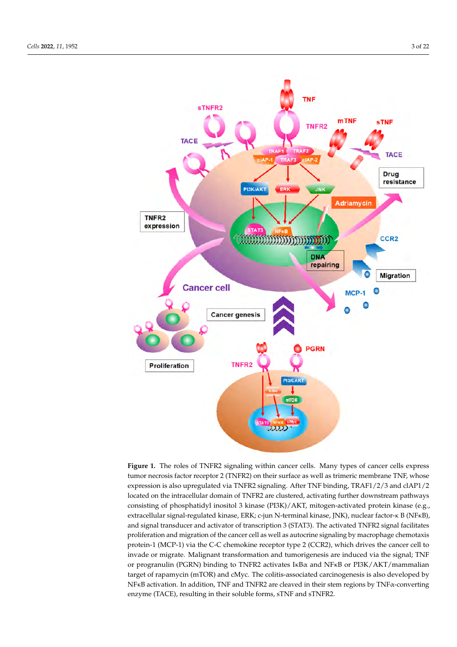<span id="page-2-0"></span>

**Figure 1.** The roles of TNFR2 signaling within cancer cells. Many types of cancer cells express tumor necrosis factor receptor 2 (TNFR2) on their surface as well as trimeric membrane TNF, whose expression is also upregulated via TNFR2 signaling. After TNF binding, TRAF1/2/3 and clAP1/2 located on the intracellular domain of TNFR2 are clustered, activating further downstream pathways consisting of phosphatidyl inositol 3 kinase (PI3K)/AKT, mitogen-activated protein kinase (e.g., extracellular signal-regulated kinase, ERK; c-jun N-terminal kinase, JNK), nuclear factor-κ B (NFκB), and signal transducer and activator of transcription 3 (STAT3). The activated TNFR2 signal facilitates proliferation and migration of the cancer cell as well as autocrine signaling by macrophage chemotaxis protein-1 (MCP-1) via the C-C chemokine receptor type 2 (CCR2), which drives the cancer cell to invade or migrate. Malignant transformation and tumorigenesis are induced via the signal; TNF or progranulin (PGRN) binding to TNFR2 activates IκBα and NFκB or PI3K/AKT/mammalian target of rapamycin (mTOR) and cMyc. The colitis-associated carcinogenesis is also developed by NFκB activation. In addition, TNF and TNFR2 are cleaved in their stem regions by TNFα-converting enzyme (TACE), resulting in their soluble forms, sTNF and sTNFR2.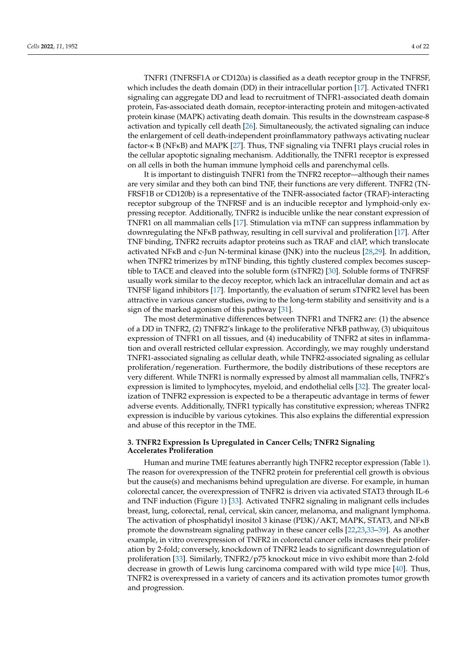TNFR1 (TNFRSF1A or CD120a) is classified as a death receptor group in the TNFRSF, which includes the death domain (DD) in their intracellular portion [\[17\]](#page-16-16). Activated TNFR1 signaling can aggregate DD and lead to recruitment of TNFR1-associated death domain protein, Fas-associated death domain, receptor-interacting protein and mitogen-activated protein kinase (MAPK) activating death domain. This results in the downstream caspase-8 activation and typically cell death [\[26\]](#page-17-2). Simultaneously, the activated signaling can induce the enlargement of cell death-independent proinflammatory pathways activating nuclear factor-κ B (NFκB) and MAPK [\[27\]](#page-17-3). Thus, TNF signaling via TNFR1 plays crucial roles in the cellular apoptotic signaling mechanism. Additionally, the TNFR1 receptor is expressed on all cells in both the human immune lymphoid cells and parenchymal cells.

It is important to distinguish TNFR1 from the TNFR2 receptor—although their names are very similar and they both can bind TNF, their functions are very different. TNFR2 (TN-FRSF1B or CD120b) is a representative of the TNFR-associated factor (TRAF)-interacting receptor subgroup of the TNFRSF and is an inducible receptor and lymphoid-only expressing receptor. Additionally, TNFR2 is inducible unlike the near constant expression of TNFR1 on all mammalian cells [\[17\]](#page-16-16). Stimulation via mTNF can suppress inflammation by downregulating the NFκB pathway, resulting in cell survival and proliferation [\[17\]](#page-16-16). After TNF binding, TNFR2 recruits adaptor proteins such as TRAF and clAP, which translocate activated NFκB and c-Jun N-terminal kinase (JNK) into the nucleus [\[28,](#page-17-4)[29\]](#page-17-5). In addition, when TNFR2 trimerizes by mTNF binding, this tightly clustered complex becomes susceptible to TACE and cleaved into the soluble form (sTNFR2) [\[30\]](#page-17-6). Soluble forms of TNFRSF usually work similar to the decoy receptor, which lack an intracellular domain and act as TNFSF ligand inhibitors [\[17\]](#page-16-16). Importantly, the evaluation of serum sTNFR2 level has been attractive in various cancer studies, owing to the long-term stability and sensitivity and is a sign of the marked agonism of this pathway [\[31\]](#page-17-7).

The most determinative differences between TNFR1 and TNFR2 are: (1) the absence of a DD in TNFR2, (2) TNFR2's linkage to the proliferative NFkB pathway, (3) ubiquitous expression of TNFR1 on all tissues, and (4) ineducability of TNFR2 at sites in inflammation and overall restricted cellular expression. Accordingly, we may roughly understand TNFR1-associated signaling as cellular death, while TNFR2-associated signaling as cellular proliferation/regeneration. Furthermore, the bodily distributions of these receptors are very different. While TNFR1 is normally expressed by almost all mammalian cells, TNFR2's expression is limited to lymphocytes, myeloid, and endothelial cells [\[32\]](#page-17-8). The greater localization of TNFR2 expression is expected to be a therapeutic advantage in terms of fewer adverse events. Additionally, TNFR1 typically has constitutive expression; whereas TNFR2 expression is inducible by various cytokines. This also explains the differential expression and abuse of this receptor in the TME.

## **3. TNFR2 Expression Is Upregulated in Cancer Cells; TNFR2 Signaling Accelerates Proliferation**

Human and murine TME features aberrantly high TNFR2 receptor expression (Table [1\)](#page-5-0). The reason for overexpression of the TNFR2 protein for preferential cell growth is obvious but the cause(s) and mechanisms behind upregulation are diverse. For example, in human colorectal cancer, the overexpression of TNFR2 is driven via activated STAT3 through IL-6 and TNF induction (Figure [1\)](#page-2-0) [\[33\]](#page-17-9). Activated TNFR2 signaling in malignant cells includes breast, lung, colorectal, renal, cervical, skin cancer, melanoma, and malignant lymphoma. The activation of phosphatidyl inositol 3 kinase (PI3K)/AKT, MAPK, STAT3, and NFκB promote the downstream signaling pathway in these cancer cells [\[22,](#page-16-21)[23](#page-16-22)[,33–](#page-17-9)[39\]](#page-17-10). As another example, in vitro overexpression of TNFR2 in colorectal cancer cells increases their proliferation by 2-fold; conversely, knockdown of TNFR2 leads to significant downregulation of proliferation [\[33\]](#page-17-9). Similarly, TNFR2/p75 knockout mice in vivo exhibit more than 2-fold decrease in growth of Lewis lung carcinoma compared with wild type mice [\[40\]](#page-17-11). Thus, TNFR2 is overexpressed in a variety of cancers and its activation promotes tumor growth and progression.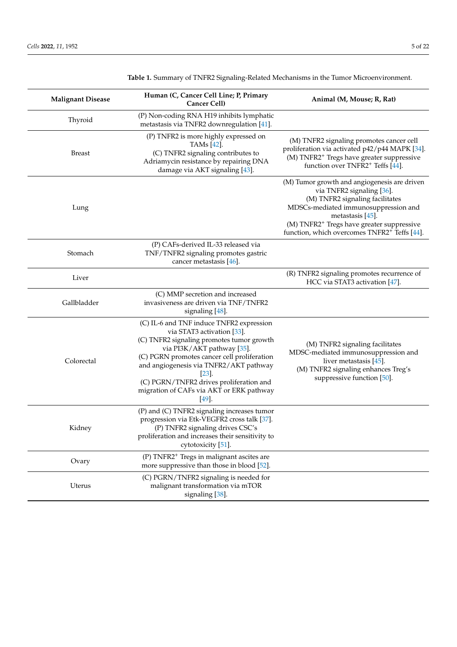| <b>Malignant Disease</b> | Human (C, Cancer Cell Line; P, Primary<br>Cancer Cell)                                                                                                                                                                                                                                                                                                  | Animal (M, Mouse; R, Rat)                                                                                                                                                                                                                                                                     |
|--------------------------|---------------------------------------------------------------------------------------------------------------------------------------------------------------------------------------------------------------------------------------------------------------------------------------------------------------------------------------------------------|-----------------------------------------------------------------------------------------------------------------------------------------------------------------------------------------------------------------------------------------------------------------------------------------------|
| Thyroid                  | (P) Non-coding RNA H19 inhibits lymphatic<br>metastasis via TNFR2 downregulation [41].                                                                                                                                                                                                                                                                  |                                                                                                                                                                                                                                                                                               |
| <b>Breast</b>            | (P) TNFR2 is more highly expressed on<br>TAMs [42].<br>(C) TNFR2 signaling contributes to<br>Adriamycin resistance by repairing DNA<br>damage via AKT signaling [43].                                                                                                                                                                                   | (M) TNFR2 signaling promotes cancer cell<br>proliferation via activated p42/p44 MAPK [34].<br>(M) TNFR2 <sup>+</sup> Tregs have greater suppressive<br>function over TNFR2 <sup>+</sup> Teffs [44].                                                                                           |
| Lung                     |                                                                                                                                                                                                                                                                                                                                                         | (M) Tumor growth and angiogenesis are driven<br>via TNFR2 signaling [36].<br>(M) TNFR2 signaling facilitates<br>MDSCs-mediated immunosuppression and<br>metastasis [45].<br>(M) TNFR2 <sup>+</sup> Tregs have greater suppressive<br>function, which overcomes TNFR2 <sup>+</sup> Teffs [44]. |
| Stomach                  | (P) CAFs-derived IL-33 released via<br>TNF/TNFR2 signaling promotes gastric<br>cancer metastasis [46].                                                                                                                                                                                                                                                  |                                                                                                                                                                                                                                                                                               |
| Liver                    |                                                                                                                                                                                                                                                                                                                                                         | (R) TNFR2 signaling promotes recurrence of<br>HCC via STAT3 activation [47].                                                                                                                                                                                                                  |
| Gallbladder              | (C) MMP secretion and increased<br>invasiveness are driven via TNF/TNFR2<br>signaling [48].                                                                                                                                                                                                                                                             |                                                                                                                                                                                                                                                                                               |
| Colorectal               | (C) IL-6 and TNF induce TNFR2 expression<br>via STAT3 activation [33].<br>(C) TNFR2 signaling promotes tumor growth<br>via PI3K/AKT pathway [35].<br>(C) PGRN promotes cancer cell proliferation<br>and angiogenesis via TNFR2/AKT pathway<br>$[23]$<br>(C) PGRN/TNFR2 drives proliferation and<br>migration of CAFs via AKT or ERK pathway<br>$[49]$ . | (M) TNFR2 signaling facilitates<br>MDSC-mediated immunosuppression and<br>liver metastasis $[45]$ .<br>(M) TNFR2 signaling enhances Treg's<br>suppressive function [50].                                                                                                                      |
| Kidney                   | (P) and (C) TNFR2 signaling increases tumor<br>progression via Etk-VEGFR2 cross talk [37].<br>(P) TNFR2 signaling drives CSC's<br>proliferation and increases their sensitivity to<br>cytotoxicity [51].                                                                                                                                                |                                                                                                                                                                                                                                                                                               |
| Ovary                    | (P) TNFR2 <sup>+</sup> Tregs in malignant ascites are<br>more suppressive than those in blood [52].                                                                                                                                                                                                                                                     |                                                                                                                                                                                                                                                                                               |
| Uterus                   | (C) PGRN/TNFR2 signaling is needed for<br>malignant transformation via mTOR<br>signaling [38].                                                                                                                                                                                                                                                          |                                                                                                                                                                                                                                                                                               |

**Table 1.** Summary of TNFR2 Signaling-Related Mechanisms in the Tumor Microenvironment.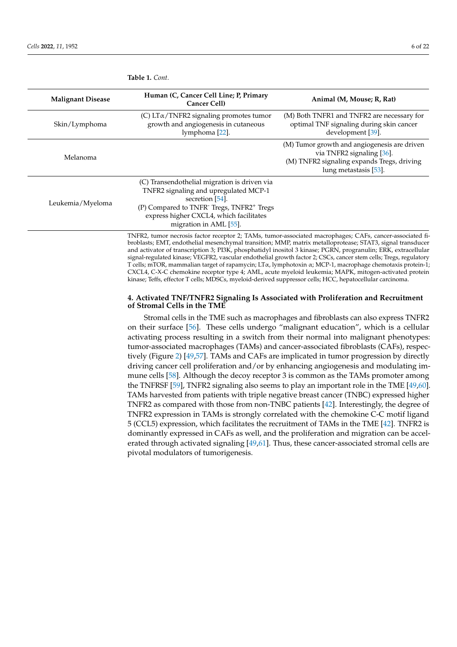| <b>Malignant Disease</b> | Human (C, Cancer Cell Line; P, Primary<br>Cancer Cell)                                                                                                                                                                                             | Animal (M, Mouse; R, Rat)                                                                                                                        |
|--------------------------|----------------------------------------------------------------------------------------------------------------------------------------------------------------------------------------------------------------------------------------------------|--------------------------------------------------------------------------------------------------------------------------------------------------|
| Skin/Lymphoma            | (C) $LT\alpha/TNFR2$ signaling promotes tumor<br>growth and angiogenesis in cutaneous<br>lymphoma [22].                                                                                                                                            | (M) Both TNFR1 and TNFR2 are necessary for<br>optimal TNF signaling during skin cancer<br>development [39].                                      |
| Melanoma                 |                                                                                                                                                                                                                                                    | (M) Tumor growth and angiogenesis are driven<br>via TNFR2 signaling [36].<br>(M) TNFR2 signaling expands Tregs, driving<br>lung metastasis [53]. |
| Leukemia/Myeloma         | (C) Transendothelial migration is driven via<br>TNFR2 signaling and upregulated MCP-1<br>secretion [54].<br>(P) Compared to TNFR <sup>-</sup> Tregs, TNFR2 <sup>+</sup> Tregs<br>express higher CXCL4, which facilitates<br>migration in AML [55]. |                                                                                                                                                  |

<span id="page-5-0"></span>**Table 1.** *Cont.*

TNFR2, tumor necrosis factor receptor 2; TAMs, tumor-associated macrophages; CAFs, cancer-associated fibroblasts; EMT, endothelial mesenchymal transition; MMP, matrix metalloprotease; STAT3, signal transducer and activator of transcription 3; PI3K, phosphatidyl inositol 3 kinase; PGRN, progranulin; ERK, extracellular signal-regulated kinase; VEGFR2, vascular endothelial growth factor 2; CSCs, cancer stem cells; Tregs, regulatory T cells; mTOR, mammalian target of rapamycin; LTα, lymphotoxin α; MCP-1, macrophage chemotaxis protein-1; CXCL4, C-X-C chemokine receptor type 4; AML, acute myeloid leukemia; MAPK, mitogen-activated protein kinase; Teffs, effector T cells; MDSCs, myeloid-derived suppressor cells; HCC, hepatocellular carcinoma.

## **4. Activated TNF/TNFR2 Signaling Is Associated with Proliferation and Recruitment of Stromal Cells in the TME**

Stromal cells in the TME such as macrophages and fibroblasts can also express TNFR2 on their surface [\[56\]](#page-18-7). These cells undergo "malignant education", which is a cellular activating process resulting in a switch from their normal into malignant phenotypes: tumor-associated macrophages (TAMs) and cancer-associated fibroblasts (CAFs), respectively (Figure [2\)](#page-6-0) [\[49,](#page-18-0)[57\]](#page-18-8). TAMs and CAFs are implicated in tumor progression by directly driving cancer cell proliferation and/or by enhancing angiogenesis and modulating immune cells [\[58\]](#page-18-9). Although the decoy receptor 3 is common as the TAMs promoter among the TNFRSF [\[59\]](#page-18-10), TNFR2 signaling also seems to play an important role in the TME [\[49](#page-18-0)[,60\]](#page-18-11). TAMs harvested from patients with triple negative breast cancer (TNBC) expressed higher TNFR2 as compared with those from non-TNBC patients [\[42\]](#page-17-13). Interestingly, the degree of TNFR2 expression in TAMs is strongly correlated with the chemokine C-C motif ligand 5 (CCL5) expression, which facilitates the recruitment of TAMs in the TME [\[42\]](#page-17-13). TNFR2 is dominantly expressed in CAFs as well, and the proliferation and migration can be accelerated through activated signaling [\[49](#page-18-0)[,61\]](#page-18-12). Thus, these cancer-associated stromal cells are pivotal modulators of tumorigenesis.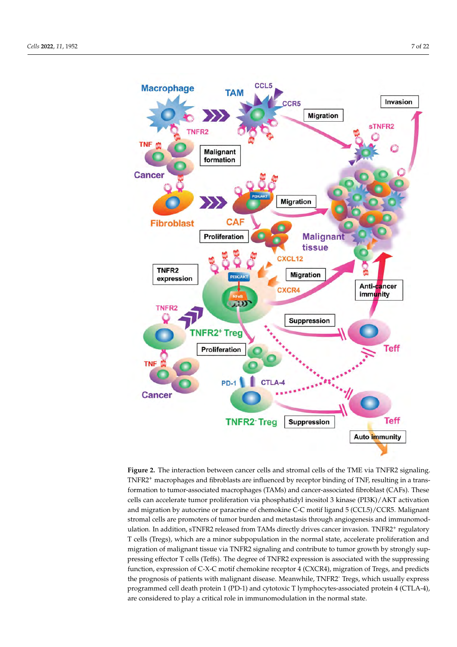<span id="page-6-0"></span>

**Figure 2.** The interaction between cancer cells and stromal cells of the TME via TNFR2 signaling. TNFR2<sup>+</sup> macrophages and fibroblasts are influenced by receptor binding of TNF, resulting in a transformation to tumor-associated macrophages (TAMs) and cancer-associated fibroblast (CAFs). These cells can accelerate tumor proliferation via phosphatidyl inositol 3 kinase (PI3K)/AKT activation and migration by autocrine or paracrine of chemokine C-C motif ligand 5 (CCL5)/CCR5. Malignant stromal cells are promoters of tumor burden and metastasis through angiogenesis and immunomodulation. In addition, sTNFR2 released from TAMs directly drives cancer invasion. TNFR2<sup>+</sup> regulatory T cells (Tregs), which are a minor subpopulation in the normal state, accelerate proliferation and migration of malignant tissue via TNFR2 signaling and contribute to tumor growth by strongly suppressing effector T cells (Teffs). The degree of TNFR2 expression is associated with the suppressing function, expression of C-X-C motif chemokine receptor 4 (CXCR4), migration of Tregs, and predicts the prognosis of patients with malignant disease. Meanwhile, TNFR2- Tregs, which usually express programmed cell death protein 1 (PD-1) and cytotoxic T lymphocytes-associated protein 4 (CTLA-4), are considered to play a critical role in immunomodulation in the normal state.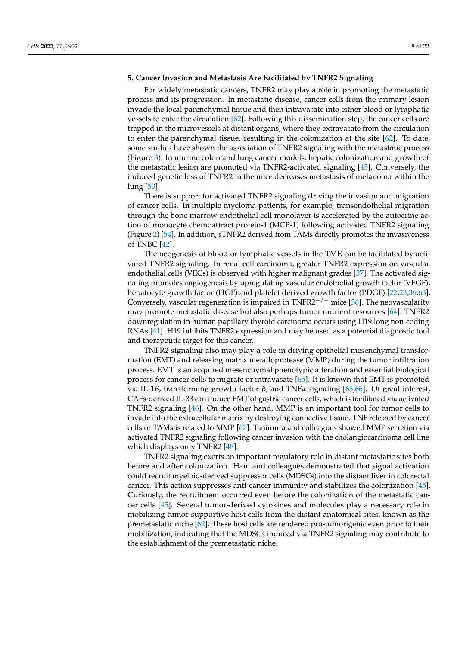#### **5. Cancer Invasion and Metastasis Are Facilitated by TNFR2 Signaling**

For widely metastatic cancers, TNFR2 may play a role in promoting the metastatic process and its progression. In metastatic disease, cancer cells from the primary lesion invade the local parenchymal tissue and then intravasate into either blood or lymphatic vessels to enter the circulation [\[62\]](#page-18-13). Following this dissemination step, the cancer cells are trapped in the microvessels at distant organs, where they extravasate from the circulation to enter the parenchymal tissue, resulting in the colonization at the site [\[62\]](#page-18-13). To date, some studies have shown the association of TNFR2 signaling with the metastatic process (Figure [3\)](#page-8-0). In murine colon and lung cancer models, hepatic colonization and growth of the metastatic lesion are promoted via TNFR2-activated signaling [\[45\]](#page-17-18). Conversely, the induced genetic loss of TNFR2 in the mice decreases metastasis of melanoma within the lung [\[53\]](#page-18-4).

There is support for activated TNFR2 signaling driving the invasion and migration of cancer cells. In multiple myeloma patients, for example, transendothelial migration through the bone marrow endothelial cell monolayer is accelerated by the autocrine action of monocyte chemoattract protein-1 (MCP-1) following activated TNFR2 signaling (Figure [2\)](#page-6-0) [\[54\]](#page-18-5). In addition, sTNFR2 derived from TAMs directly promotes the invasiveness of TNBC [\[42\]](#page-17-13).

The neogenesis of blood or lymphatic vessels in the TME can be facilitated by activated TNFR2 signaling. In renal cell carcinoma, greater TNFR2 expression on vascular endothelial cells (VECs) is observed with higher malignant grades [\[37\]](#page-17-23). The activated signaling promotes angiogenesis by upregulating vascular endothelial growth factor (VEGF), hepatocyte growth factor (HGF) and platelet derived growth factor (PDGF) [\[22,](#page-16-21)[23,](#page-16-22)[36,](#page-17-17)[63\]](#page-18-14). Conversely, vascular regeneration is impaired in TNFR2<sup>-/-</sup> mice [\[36\]](#page-17-17). The neovascularity may promote metastatic disease but also perhaps tumor nutrient resources [\[64\]](#page-18-15). TNFR2 downregulation in human papillary thyroid carcinoma occurs using H19 long non-coding RNAs [\[41\]](#page-17-12). H19 inhibits TNFR2 expression and may be used as a potential diagnostic tool and therapeutic target for this cancer.

TNFR2 signaling also may play a role in driving epithelial mesenchymal transformation (EMT) and releasing matrix metalloprotease (MMP) during the tumor infiltration process. EMT is an acquired mesenchymal phenotypic alteration and essential biological process for cancer cells to migrate or intravasate [\[65\]](#page-18-16). It is known that EMT is promoted via IL-1*β*, transforming growth factor *β*, and TNF*α* signaling [\[65,](#page-18-16)[66\]](#page-18-17). Of great interest, CAFs-derived IL-33 can induce EMT of gastric cancer cells, which is facilitated via activated TNFR2 signaling [\[46\]](#page-17-19). On the other hand, MMP is an important tool for tumor cells to invade into the extracellular matrix by destroying connective tissue. TNF released by cancer cells or TAMs is related to MMP [\[67\]](#page-18-18). Tanimura and colleagues showed MMP secretion via activated TNFR2 signaling following cancer invasion with the cholangiocarcinoma cell line which displays only TNFR2 [\[48\]](#page-17-21).

TNFR2 signaling exerts an important regulatory role in distant metastatic sites both before and after colonization. Ham and colleagues demonstrated that signal activation could recruit myeloid-derived suppressor cells (MDSCs) into the distant liver in colorectal cancer. This action suppresses anti-cancer immunity and stabilizes the colonization [\[45\]](#page-17-18). Curiously, the recruitment occurred even before the colonization of the metastatic cancer cells [\[45\]](#page-17-18). Several tumor-derived cytokines and molecules play a necessary role in mobilizing tumor-supportive host cells from the distant anatomical sites, known as the premetastatic niche [\[62\]](#page-18-13). These host cells are rendered pro-tumorigenic even prior to their mobilization, indicating that the MDSCs induced via TNFR2 signaling may contribute to the establishment of the premetastatic niche.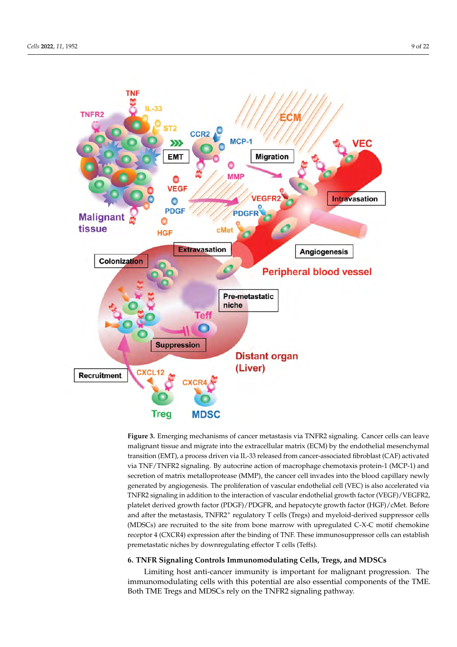<span id="page-8-0"></span>

**Figure 3.** Emerging mechanisms of cancer metastasis via TNFR2 signaling. Cancer cells can leave malignant tissue and migrate into the extracellular matrix (ECM) by the endothelial mesenchymal transition (EMT), a process driven via IL-33 released from cancer-associated fibroblast (CAF) activated via TNF/TNFR2 signaling. By autocrine action of macrophage chemotaxis protein-1 (MCP-1) and secretion of matrix metalloprotease (MMP), the cancer cell invades into the blood capillary newly generated by angiogenesis. The proliferation of vascular endothelial cell (VEC) is also accelerated via TNFR2 signaling in addition to the interaction of vascular endothelial growth factor (VEGF)/VEGFR2, platelet derived growth factor (PDGF)/PDGFR, and hepatocyte growth factor (HGF)/cMet. Before and after the metastasis, TNFR2<sup>+</sup> regulatory T cells (Tregs) and myeloid-derived suppressor cells (MDSCs) are recruited to the site from bone marrow with upregulated C-X-C motif chemokine receptor 4 (CXCR4) expression after the binding of TNF. These immunosuppressor cells can establish premetastatic niches by downregulating effector T cells (Teffs).

# **6. TNFR Signaling Controls Immunomodulating Cells, Tregs, and MDSCs**

Limiting host anti-cancer immunity is important for malignant progression. The immunomodulating cells with this potential are also essential components of the TME. Both TME Tregs and MDSCs rely on the TNFR2 signaling pathway.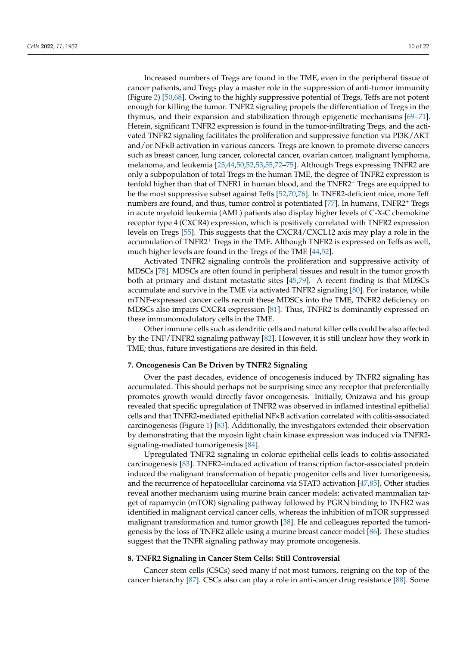Increased numbers of Tregs are found in the TME, even in the peripheral tissue of cancer patients, and Tregs play a master role in the suppression of anti-tumor immunity (Figure [2\)](#page-6-0) [\[50,](#page-18-1)[68\]](#page-18-19). Owing to the highly suppressive potential of Tregs, Teffs are not potent enough for killing the tumor. TNFR2 signaling propels the differentiation of Tregs in the thymus, and their expansion and stabilization through epigenetic mechanisms [\[69](#page-18-20)[–71\]](#page-18-21). Herein, significant TNFR2 expression is found in the tumor-infiltrating Tregs, and the activated TNFR2 signaling facilitates the proliferation and suppressive function via PI3K/AKT and/or NFκB activation in various cancers. Tregs are known to promote diverse cancers such as breast cancer, lung cancer, colorectal cancer, ovarian cancer, malignant lymphoma, melanoma, and leukemia [\[25,](#page-17-1)[44,](#page-17-16)[50,](#page-18-1)[52,](#page-18-3)[53](#page-18-4)[,55](#page-18-6)[,72–](#page-18-22)[75\]](#page-19-0). Although Tregs expressing TNFR2 are only a subpopulation of total Tregs in the human TME, the degree of TNFR2 expression is tenfold higher than that of TNFR1 in human blood, and the TNFR2<sup>+</sup> Tregs are equipped to be the most suppressive subset against Teffs [\[52,](#page-18-3)[70,](#page-18-23)[76\]](#page-19-1). In TNFR2-deficient mice, more Teff numbers are found, and thus, tumor control is potentiated [\[77\]](#page-19-2). In humans, TNFR2<sup>+</sup> Tregs in acute myeloid leukemia (AML) patients also display higher levels of C-X-C chemokine receptor type 4 (CXCR4) expression, which is positively correlated with TNFR2 expression levels on Tregs [\[55\]](#page-18-6). This suggests that the CXCR4/CXCL12 axis may play a role in the accumulation of TNFR2<sup>+</sup> Tregs in the TME. Although TNFR2 is expressed on Teffs as well, much higher levels are found in the Tregs of the TME [\[44](#page-17-16)[,52\]](#page-18-3).

Activated TNFR2 signaling controls the proliferation and suppressive activity of MDSCs [\[78\]](#page-19-3). MDSCs are often found in peripheral tissues and result in the tumor growth both at primary and distant metastatic sites [\[45,](#page-17-18)[79\]](#page-19-4). A recent finding is that MDSCs accumulate and survive in the TME via activated TNFR2 signaling [\[80\]](#page-19-5). For instance, while mTNF-expressed cancer cells recruit these MDSCs into the TME, TNFR2 deficiency on MDSCs also impairs CXCR4 expression [\[81\]](#page-19-6). Thus, TNFR2 is dominantly expressed on these immunomodulatory cells in the TME.

Other immune cells such as dendritic cells and natural killer cells could be also affected by the TNF/TNFR2 signaling pathway [\[82\]](#page-19-7). However, it is still unclear how they work in TME; thus, future investigations are desired in this field.

#### **7. Oncogenesis Can Be Driven by TNFR2 Signaling**

Over the past decades, evidence of oncogenesis induced by TNFR2 signaling has accumulated. This should perhaps not be surprising since any receptor that preferentially promotes growth would directly favor oncogenesis. Initially, Onizawa and his group revealed that specific upregulation of TNFR2 was observed in inflamed intestinal epithelial cells and that TNFR2-mediated epithelial NFκB activation correlated with colitis-associated carcinogenesis (Figure [1\)](#page-2-0) [\[83\]](#page-19-8). Additionally, the investigators extended their observation by demonstrating that the myosin light chain kinase expression was induced via TNFR2 signaling-mediated tumorigenesis [\[84\]](#page-19-9).

Upregulated TNFR2 signaling in colonic epithelial cells leads to colitis-associated carcinogenesis [\[83\]](#page-19-8). TNFR2-induced activation of transcription factor-associated protein induced the malignant transformation of hepatic progenitor cells and liver tumorigenesis, and the recurrence of hepatocellular carcinoma via STAT3 activation [\[47,](#page-17-20)[85\]](#page-19-10). Other studies reveal another mechanism using murine brain cancer models: activated mammalian target of rapamycin (mTOR) signaling pathway followed by PGRN binding to TNFR2 was identified in malignant cervical cancer cells, whereas the inhibition of mTOR suppressed malignant transformation and tumor growth [\[38\]](#page-17-24). He and colleagues reported the tumorigenesis by the loss of TNFR2 allele using a murine breast cancer model [\[86\]](#page-19-11). These studies suggest that the TNFR signaling pathway may promote oncogenesis.

## **8. TNFR2 Signaling in Cancer Stem Cells: Still Controversial**

Cancer stem cells (CSCs) seed many if not most tumors, reigning on the top of the cancer hierarchy [\[87\]](#page-19-12). CSCs also can play a role in anti-cancer drug resistance [\[88\]](#page-19-13). Some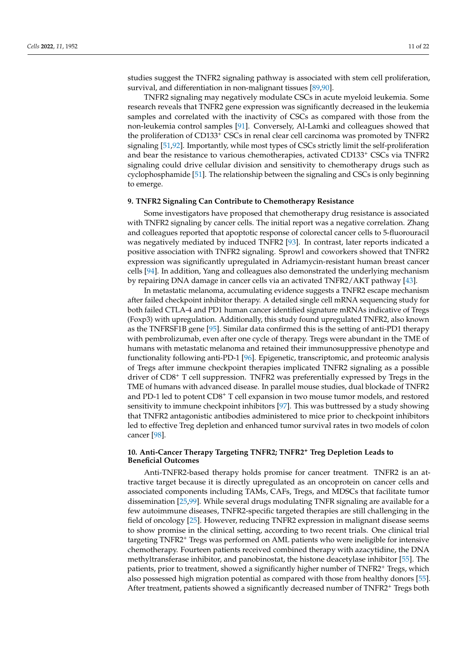studies suggest the TNFR2 signaling pathway is associated with stem cell proliferation, survival, and differentiation in non-malignant tissues [\[89](#page-19-14)[,90\]](#page-19-15).

TNFR2 signaling may negatively modulate CSCs in acute myeloid leukemia. Some research reveals that TNFR2 gene expression was significantly decreased in the leukemia samples and correlated with the inactivity of CSCs as compared with those from the non-leukemia control samples [\[91\]](#page-19-16). Conversely, Al-Lamki and colleagues showed that the proliferation of CD133<sup>+</sup> CSCs in renal clear cell carcinoma was promoted by TNFR2 signaling [\[51](#page-18-2)[,92\]](#page-19-17). Importantly, while most types of CSCs strictly limit the self-proliferation and bear the resistance to various chemotherapies, activated CD133<sup>+</sup> CSCs via TNFR2 signaling could drive cellular division and sensitivity to chemotherapy drugs such as cyclophosphamide [\[51\]](#page-18-2). The relationship between the signaling and CSCs is only beginning to emerge.

#### **9. TNFR2 Signaling Can Contribute to Chemotherapy Resistance**

Some investigators have proposed that chemotherapy drug resistance is associated with TNFR2 signaling by cancer cells. The initial report was a negative correlation. Zhang and colleagues reported that apoptotic response of colorectal cancer cells to 5-fluorouracil was negatively mediated by induced TNFR2 [\[93\]](#page-19-18). In contrast, later reports indicated a positive association with TNFR2 signaling. Sprowl and coworkers showed that TNFR2 expression was significantly upregulated in Adriamycin-resistant human breast cancer cells [\[94\]](#page-19-19). In addition, Yang and colleagues also demonstrated the underlying mechanism by repairing DNA damage in cancer cells via an activated TNFR2/AKT pathway [\[43\]](#page-17-14).

In metastatic melanoma, accumulating evidence suggests a TNFR2 escape mechanism after failed checkpoint inhibitor therapy. A detailed single cell mRNA sequencing study for both failed CTLA-4 and PD1 human cancer identified signature mRNAs indicative of Tregs (Foxp3) with upregulation. Additionally, this study found upregulated TNFR2, also known as the TNFRSF1B gene [\[95\]](#page-19-20). Similar data confirmed this is the setting of anti-PD1 therapy with pembrolizumab, even after one cycle of therapy. Tregs were abundant in the TME of humans with metastatic melanoma and retained their immunosuppressive phenotype and functionality following anti-PD-1 [\[96\]](#page-19-21). Epigenetic, transcriptomic, and proteomic analysis of Tregs after immune checkpoint therapies implicated TNFR2 signaling as a possible driver of CD8<sup>+</sup> T cell suppression. TNFR2 was preferentially expressed by Tregs in the TME of humans with advanced disease. In parallel mouse studies, dual blockade of TNFR2 and PD-1 led to potent CD8<sup>+</sup> T cell expansion in two mouse tumor models, and restored sensitivity to immune checkpoint inhibitors [\[97\]](#page-19-22). This was buttressed by a study showing that TNFR2 antagonistic antibodies administered to mice prior to checkpoint inhibitors led to effective Treg depletion and enhanced tumor survival rates in two models of colon cancer [\[98\]](#page-20-0).

# **10. Anti-Cancer Therapy Targeting TNFR2; TNFR2<sup>+</sup> Treg Depletion Leads to Beneficial Outcomes**

Anti-TNFR2-based therapy holds promise for cancer treatment. TNFR2 is an attractive target because it is directly upregulated as an oncoprotein on cancer cells and associated components including TAMs, CAFs, Tregs, and MDSCs that facilitate tumor dissemination [\[25](#page-17-1)[,99\]](#page-20-1). While several drugs modulating TNFR signaling are available for a few autoimmune diseases, TNFR2-specific targeted therapies are still challenging in the field of oncology [\[25\]](#page-17-1). However, reducing TNFR2 expression in malignant disease seems to show promise in the clinical setting, according to two recent trials. One clinical trial targeting TNFR2<sup>+</sup> Tregs was performed on AML patients who were ineligible for intensive chemotherapy. Fourteen patients received combined therapy with azacytidine, the DNA methyltransferase inhibitor, and panobinostat, the histone deacetylase inhibitor [\[55\]](#page-18-6). The patients, prior to treatment, showed a significantly higher number of TNFR2<sup>+</sup> Tregs, which also possessed high migration potential as compared with those from healthy donors [\[55\]](#page-18-6). After treatment, patients showed a significantly decreased number of TNFR2<sup>+</sup> Tregs both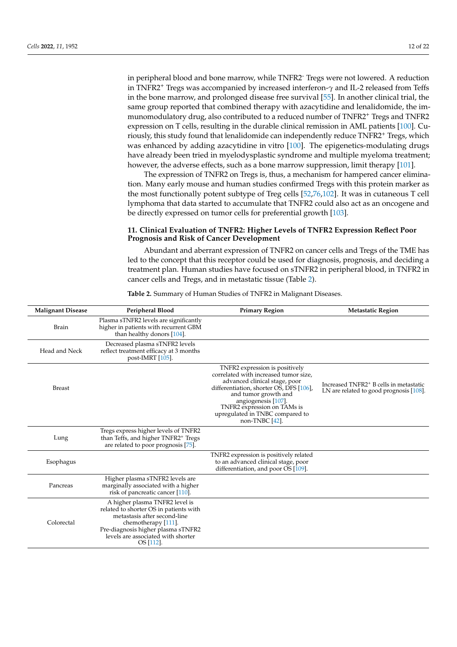in peripheral blood and bone marrow, while TNFR2- Tregs were not lowered. A reduction in TNFR2<sup>+</sup> Tregs was accompanied by increased interferon-*γ* and IL-2 released from Teffs in the bone marrow, and prolonged disease free survival [\[55\]](#page-18-6). In another clinical trial, the same group reported that combined therapy with azacytidine and lenalidomide, the immunomodulatory drug, also contributed to a reduced number of TNFR2<sup>+</sup> Tregs and TNFR2 expression on T cells, resulting in the durable clinical remission in AML patients [\[100\]](#page-20-2). Curiously, this study found that lenalidomide can independently reduce TNFR2<sup>+</sup> Tregs, which was enhanced by adding azacytidine in vitro [\[100\]](#page-20-2). The epigenetics-modulating drugs have already been tried in myelodysplastic syndrome and multiple myeloma treatment; however, the adverse effects, such as a bone marrow suppression, limit therapy [\[101\]](#page-20-3).

The expression of TNFR2 on Tregs is, thus, a mechanism for hampered cancer elimination. Many early mouse and human studies confirmed Tregs with this protein marker as the most functionally potent subtype of Treg cells [\[52](#page-18-3)[,76](#page-19-1)[,102\]](#page-20-4). It was in cutaneous T cell lymphoma that data started to accumulate that TNFR2 could also act as an oncogene and be directly expressed on tumor cells for preferential growth [\[103\]](#page-20-5).

## **11. Clinical Evaluation of TNFR2: Higher Levels of TNFR2 Expression Reflect Poor Prognosis and Risk of Cancer Development**

Abundant and aberrant expression of TNFR2 on cancer cells and Tregs of the TME has led to the concept that this receptor could be used for diagnosis, prognosis, and deciding a treatment plan. Human studies have focused on sTNFR2 in peripheral blood, in TNFR2 in cancer cells and Tregs, and in metastatic tissue (Table [2\)](#page-12-0).

| <b>Malignant Disease</b> | Peripheral Blood                                                                                                                                                                                                         | <b>Primary Region</b>                                                                                                                                                                                                                                                                  | <b>Metastatic Region</b>                                                                          |
|--------------------------|--------------------------------------------------------------------------------------------------------------------------------------------------------------------------------------------------------------------------|----------------------------------------------------------------------------------------------------------------------------------------------------------------------------------------------------------------------------------------------------------------------------------------|---------------------------------------------------------------------------------------------------|
| Brain                    | Plasma sTNFR2 levels are significantly<br>higher in patients with recurrent GBM<br>than healthy donors [104].                                                                                                            |                                                                                                                                                                                                                                                                                        |                                                                                                   |
| Head and Neck            | Decreased plasma sTNFR2 levels<br>reflect treatment efficacy at 3 months<br>post-IMRT [105].                                                                                                                             |                                                                                                                                                                                                                                                                                        |                                                                                                   |
| <b>Breast</b>            |                                                                                                                                                                                                                          | TNFR2 expression is positively<br>correlated with increased tumor size,<br>advanced clinical stage, poor<br>differentiation, shorter OS, DFS [106],<br>and tumor growth and<br>angiogenesis [107].<br>TNFR2 expression on TAMs is<br>upregulated in TNBC compared to<br>non-TNBC [42]. | Increased TNFR2 <sup>+</sup> B cells in metastatic<br>LN are related to good prognosis [ $108$ ]. |
| Lung                     | Tregs express higher levels of TNFR2<br>than Teffs, and higher TNFR2 <sup>+</sup> Tregs<br>are related to poor prognosis [75].                                                                                           |                                                                                                                                                                                                                                                                                        |                                                                                                   |
| Esophagus                |                                                                                                                                                                                                                          | TNFR2 expression is positively related<br>to an advanced clinical stage, poor<br>differentiation, and poor OS [109].                                                                                                                                                                   |                                                                                                   |
| Pancreas                 | Higher plasma sTNFR2 levels are<br>marginally associated with a higher<br>risk of pancreatic cancer [110].                                                                                                               |                                                                                                                                                                                                                                                                                        |                                                                                                   |
| Colorectal               | A higher plasma TNFR2 level is<br>related to shorter OS in patients with<br>metastasis after second-line<br>chemotherapy [111].<br>Pre-diagnosis higher plasma sTNFR2<br>levels are associated with shorter<br>OS [112]. |                                                                                                                                                                                                                                                                                        |                                                                                                   |

**Table 2.** Summary of Human Studies of TNFR2 in Malignant Diseases.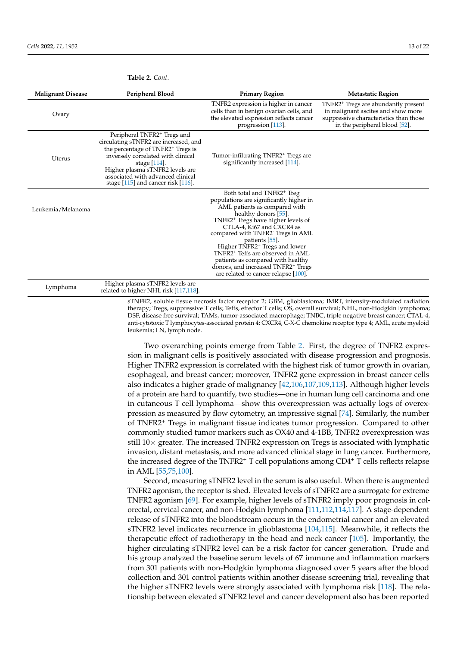| <b>Malignant Disease</b> | Peripheral Blood                                                                                                                                                                                                                                                                                         | <b>Primary Region</b>                                                                                                                                                                                                                                                                                                                                                                                                                                                                                                    | <b>Metastatic Region</b>                                                                                                                                         |
|--------------------------|----------------------------------------------------------------------------------------------------------------------------------------------------------------------------------------------------------------------------------------------------------------------------------------------------------|--------------------------------------------------------------------------------------------------------------------------------------------------------------------------------------------------------------------------------------------------------------------------------------------------------------------------------------------------------------------------------------------------------------------------------------------------------------------------------------------------------------------------|------------------------------------------------------------------------------------------------------------------------------------------------------------------|
| Ovary                    |                                                                                                                                                                                                                                                                                                          | TNFR2 expression is higher in cancer<br>cells than in benign ovarian cells, and<br>the elevated expression reflects cancer<br>progression [113].                                                                                                                                                                                                                                                                                                                                                                         | TNFR2 <sup>+</sup> Tregs are abundantly present<br>in malignant ascites and show more<br>suppressive characteristics than those<br>in the peripheral blood [52]. |
| Uterus                   | Peripheral TNFR2 <sup>+</sup> Tregs and<br>circulating sTNFR2 are increased, and<br>the percentage of TNFR2 <sup>+</sup> Tregs is<br>inversely correlated with clinical<br>stage $[114]$ .<br>Higher plasma sTNFR2 levels are<br>associated with advanced clinical<br>stage [115] and cancer risk [116]. | Tumor-infiltrating TNFR2 <sup>+</sup> Tregs are<br>significantly increased [114].                                                                                                                                                                                                                                                                                                                                                                                                                                        |                                                                                                                                                                  |
| Leukemia/Melanoma        |                                                                                                                                                                                                                                                                                                          | Both total and TNFR2 <sup>+</sup> Treg<br>populations are significantly higher in<br>AML patients as compared with<br>healthy donors [55].<br>TNFR2 <sup>+</sup> Tregs have higher levels of<br>CTLA-4, Ki67 and CXCR4 as<br>compared with TNFR2 <sup>-</sup> Tregs in AML<br>patients [55].<br>Higher TNFR2 <sup>+</sup> Tregs and lower<br>TNFR2 <sup>+</sup> Teffs are observed in AML<br>patients as compared with healthy<br>donors, and increased TNFR2 <sup>+</sup> Tregs<br>are related to cancer relapse [100]. |                                                                                                                                                                  |
| Lymphoma                 | Higher plasma sTNFR2 levels are<br>related to higher NHL risk [117,118].                                                                                                                                                                                                                                 |                                                                                                                                                                                                                                                                                                                                                                                                                                                                                                                          |                                                                                                                                                                  |

<span id="page-12-0"></span>**Table 2.** *Cont.*

sTNFR2, soluble tissue necrosis factor receptor 2; GBM, glioblastoma; IMRT, intensity-modulated radiation therapy; Tregs, suppressive T cells; Teffs, effector T cells; OS, overall survival; NHL, non-Hodgkin lymphoma; DSF, disease free survival; TAMs, tumor-associated macrophage; TNBC, triple negative breast cancer; CTAL-4, anti-cytotoxic T lymphocytes-associated protein 4; CXCR4, C-X-C chemokine receptor type 4; AML, acute myeloid leukemia; LN, lymph node.

Two overarching points emerge from Table [2.](#page-12-0) First, the degree of TNFR2 expression in malignant cells is positively associated with disease progression and prognosis. Higher TNFR2 expression is correlated with the highest risk of tumor growth in ovarian, esophageal, and breast cancer; moreover, TNFR2 gene expression in breast cancer cells also indicates a higher grade of malignancy [\[42,](#page-17-13)[106](#page-20-8)[,107,](#page-20-9)[109](#page-20-11)[,113\]](#page-20-15). Although higher levels of a protein are hard to quantify, two studies—one in human lung cell carcinoma and one in cutaneous T cell lymphoma—show this overexpression was actually logs of overexpression as measured by flow cytometry, an impressive signal [\[74\]](#page-19-23). Similarly, the number of TNFR2<sup>+</sup> Tregs in malignant tissue indicates tumor progression. Compared to other commonly studied tumor markers such as OX40 and 4-1BB, TNFR2 overexpression was still  $10\times$  greater. The increased TNFR2 expression on Tregs is associated with lymphatic invasion, distant metastasis, and more advanced clinical stage in lung cancer. Furthermore, the increased degree of the TNFR2<sup>+</sup> T cell populations among CD4<sup>+</sup> T cells reflects relapse in AML [\[55,](#page-18-6)[75,](#page-19-0)[100\]](#page-20-2).

Second, measuring sTNFR2 level in the serum is also useful. When there is augmented TNFR2 agonism, the receptor is shed. Elevated levels of sTNFR2 are a surrogate for extreme TNFR2 agonism [\[69\]](#page-18-20). For example, higher levels of sTNFR2 imply poor prognosis in colorectal, cervical cancer, and non-Hodgkin lymphoma [\[111,](#page-20-13)[112,](#page-20-14)[114](#page-20-16)[,117\]](#page-20-19). A stage-dependent release of sTNFR2 into the bloodstream occurs in the endometrial cancer and an elevated sTNFR2 level indicates recurrence in glioblastoma [\[104](#page-20-6)[,115\]](#page-20-17). Meanwhile, it reflects the therapeutic effect of radiotherapy in the head and neck cancer [\[105\]](#page-20-7). Importantly, the higher circulating sTNFR2 level can be a risk factor for cancer generation. Prude and his group analyzed the baseline serum levels of 67 immune and inflammation markers from 301 patients with non-Hodgkin lymphoma diagnosed over 5 years after the blood collection and 301 control patients within another disease screening trial, revealing that the higher sTNFR2 levels were strongly associated with lymphoma risk [\[118\]](#page-20-20). The relationship between elevated sTNFR2 level and cancer development also has been reported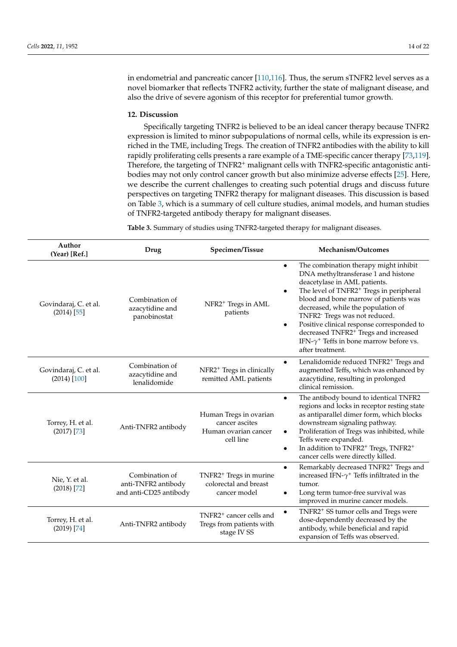in endometrial and pancreatic cancer [\[110](#page-20-12)[,116\]](#page-20-18). Thus, the serum sTNFR2 level serves as a novel biomarker that reflects TNFR2 activity, further the state of malignant disease, and also the drive of severe agonism of this receptor for preferential tumor growth.

### **12. Discussion**

Specifically targeting TNFR2 is believed to be an ideal cancer therapy because TNFR2 expression is limited to minor subpopulations of normal cells, while its expression is enriched in the TME, including Tregs. The creation of TNFR2 antibodies with the ability to kill rapidly proliferating cells presents a rare example of a TME-specific cancer therapy [\[73](#page-19-24)[,119\]](#page-20-21). Therefore, the targeting of TNFR2<sup>+</sup> malignant cells with TNFR2-specific antagonistic antibodies may not only control cancer growth but also minimize adverse effects [\[25\]](#page-17-1). Here, we describe the current challenges to creating such potential drugs and discuss future perspectives on targeting TNFR2 therapy for malignant diseases. This discussion is based on Table [3,](#page-14-0) which is a summary of cell culture studies, animal models, and human studies of TNFR2-targeted antibody therapy for malignant diseases.

**Table 3.** Summary of studies using TNFR2-targeted therapy for malignant diseases.

| Author<br>(Year) [Ref.]                 | Drug                                                            | Specimen/Tissue                                                                | Mechanism/Outcomes                                                                                                                                                                                                                                                                                                                                                                                                                                                                                                         |
|-----------------------------------------|-----------------------------------------------------------------|--------------------------------------------------------------------------------|----------------------------------------------------------------------------------------------------------------------------------------------------------------------------------------------------------------------------------------------------------------------------------------------------------------------------------------------------------------------------------------------------------------------------------------------------------------------------------------------------------------------------|
| Govindaraj, C. et al.<br>$(2014)$ [55]  | Combination of<br>azacytidine and<br>panobinostat               | NFR2 <sup>+</sup> Tregs in AML<br>patients                                     | The combination therapy might inhibit<br>$\bullet$<br>DNA methyltransferase 1 and histone<br>deacetylase in AML patients.<br>The level of TNFR2 <sup>+</sup> Tregs in peripheral<br>$\bullet$<br>blood and bone marrow of patients was<br>decreased, while the population of<br>TNFR2 <sup>-</sup> Tregs was not reduced.<br>Positive clinical response corresponded to<br>$\bullet$<br>decreased TNFR2 <sup>+</sup> Tregs and increased<br>IFN- $\gamma$ <sup>+</sup> Teffs in bone marrow before vs.<br>after treatment. |
| Govindaraj, C. et al.<br>$(2014)$ [100] | Combination of<br>azacytidine and<br>lenalidomide               | NFR2 <sup>+</sup> Tregs in clinically<br>remitted AML patients                 | Lenalidomide reduced TNFR2 <sup>+</sup> Tregs and<br>$\bullet$<br>augmented Teffs, which was enhanced by<br>azacytidine, resulting in prolonged<br>clinical remission.                                                                                                                                                                                                                                                                                                                                                     |
| Torrey, H. et al.<br>$(2017)$ [73]      | Anti-TNFR2 antibody                                             | Human Tregs in ovarian<br>cancer ascites<br>Human ovarian cancer<br>cell line  | The antibody bound to identical TNFR2<br>$\bullet$<br>regions and locks in receptor resting state<br>as antiparallel dimer form, which blocks<br>downstream signaling pathway.<br>Proliferation of Tregs was inhibited, while<br>$\bullet$<br>Teffs were expanded.<br>In addition to TNFR2 <sup>+</sup> Tregs, TNFR2 <sup>+</sup><br>$\bullet$<br>cancer cells were directly killed.                                                                                                                                       |
| Nie, Y. et al.<br>$(2018)$ [72]         | Combination of<br>anti-TNFR2 antibody<br>and anti-CD25 antibody | TNFR2 <sup>+</sup> Tregs in murine<br>colorectal and breast<br>cancer model    | Remarkably decreased TNFR2 <sup>+</sup> Tregs and<br>$\bullet$<br>increased IFN- $\gamma^+$ Teffs infiltrated in the<br>tumor.<br>Long term tumor-free survival was<br>٠<br>improved in murine cancer models.                                                                                                                                                                                                                                                                                                              |
| Torrey, H. et al.<br>$(2019)$ [74]      | Anti-TNFR2 antibody                                             | TNFR2 <sup>+</sup> cancer cells and<br>Tregs from patients with<br>stage IV SS | TNFR2 <sup>+</sup> SS tumor cells and Tregs were<br>$\bullet$<br>dose-dependently decreased by the<br>antibody, while beneficial and rapid<br>expansion of Teffs was observed.                                                                                                                                                                                                                                                                                                                                             |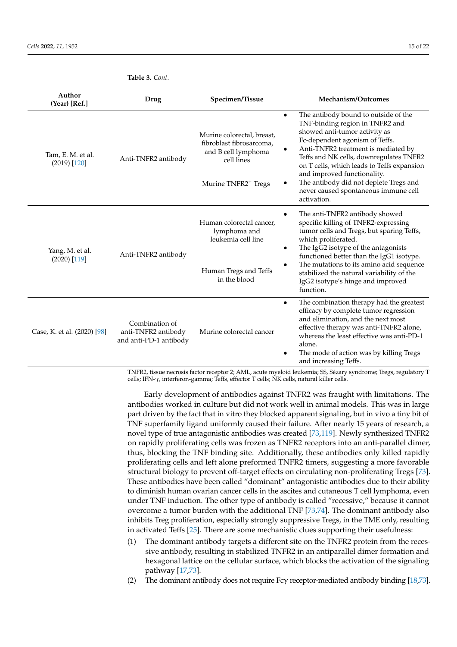| Author<br>(Year) [Ref.]             | Drug                                                            | Specimen/Tissue                                                                                                                     | Mechanism/Outcomes                                                                                                                                                                                                                                                                                                                                                                                                      |
|-------------------------------------|-----------------------------------------------------------------|-------------------------------------------------------------------------------------------------------------------------------------|-------------------------------------------------------------------------------------------------------------------------------------------------------------------------------------------------------------------------------------------------------------------------------------------------------------------------------------------------------------------------------------------------------------------------|
| Tam, E. M. et al.<br>$(2019)$ [120] | Anti-TNFR2 antibody                                             | Murine colorectal, breast,<br>fibroblast fibrosarcoma.<br>and B cell lymphoma<br>cell lines<br>Murine TNFR2 <sup>+</sup> Tregs<br>٠ | The antibody bound to outside of the<br>$\bullet$<br>TNF-binding region in TNFR2 and<br>showed anti-tumor activity as<br>Fc-dependent agonism of Teffs.<br>Anti-TNFR2 treatment is mediated by<br>Teffs and NK cells, downregulates TNFR2<br>on T cells, which leads to Teffs expansion<br>and improved functionality.<br>The antibody did not deplete Tregs and<br>never caused spontaneous immune cell<br>activation. |
| Yang, M. et al.<br>$(2020)$ [119]   | Anti-TNFR2 antibody                                             | Human colorectal cancer,<br>lymphoma and<br>leukemia cell line<br>٠                                                                 | The anti-TNFR2 antibody showed<br>specific killing of TNFR2-expressing<br>tumor cells and Tregs, but sparing Teffs,<br>which proliferated.<br>The IgG2 isotype of the antagonists<br>functioned better than the IgG1 isotype.                                                                                                                                                                                           |
|                                     |                                                                 | $\bullet$<br>Human Tregs and Teffs<br>in the blood                                                                                  | The mutations to its amino acid sequence<br>stabilized the natural variability of the<br>IgG2 isotype's hinge and improved<br>function.                                                                                                                                                                                                                                                                                 |
| Case, K. et al. (2020) [98]         | Combination of<br>anti-TNFR2 antibody<br>and anti-PD-1 antibody | $\bullet$<br>Murine colorectal cancer                                                                                               | The combination therapy had the greatest<br>efficacy by complete tumor regression<br>and elimination, and the next most<br>effective therapy was anti-TNFR2 alone,<br>whereas the least effective was anti-PD-1<br>alone.<br>The mode of action was by killing Tregs<br>and increasing Teffs.                                                                                                                           |

<span id="page-14-0"></span>**Table 3.** *Cont.*

TNFR2, tissue necrosis factor receptor 2; AML, acute myeloid leukemia; SS, Sézary syndrome; Tregs, regulatory T cells; IFN-*γ*, interferon-gamma; Teffs, effector T cells; NK cells, natural killer cells.

Early development of antibodies against TNFR2 was fraught with limitations. The antibodies worked in culture but did not work well in animal models. This was in large part driven by the fact that in vitro they blocked apparent signaling, but in vivo a tiny bit of TNF superfamily ligand uniformly caused their failure. After nearly 15 years of research, a novel type of true antagonistic antibodies was created [\[73](#page-19-24)[,119\]](#page-20-21). Newly synthesized TNFR2 on rapidly proliferating cells was frozen as TNFR2 receptors into an anti-parallel dimer, thus, blocking the TNF binding site. Additionally, these antibodies only killed rapidly proliferating cells and left alone preformed TNFR2 timers, suggesting a more favorable structural biology to prevent off-target effects on circulating non-proliferating Tregs [\[73\]](#page-19-24). These antibodies have been called "dominant" antagonistic antibodies due to their ability to diminish human ovarian cancer cells in the ascites and cutaneous T cell lymphoma, even under TNF induction. The other type of antibody is called "recessive," because it cannot overcome a tumor burden with the additional TNF [\[73](#page-19-24)[,74\]](#page-19-23). The dominant antibody also inhibits Treg proliferation, especially strongly suppressive Tregs, in the TME only, resulting in activated Teffs [\[25\]](#page-17-1). There are some mechanistic clues supporting their usefulness:

- (1) The dominant antibody targets a different site on the TNFR2 protein from the recessive antibody, resulting in stabilized TNFR2 in an antiparallel dimer formation and hexagonal lattice on the cellular surface, which blocks the activation of the signaling pathway [\[17](#page-16-16)[,73\]](#page-19-24).
- (2) The dominant antibody does not require Fcγ receptor-mediated antibody binding [\[18,](#page-16-17)[73\]](#page-19-24).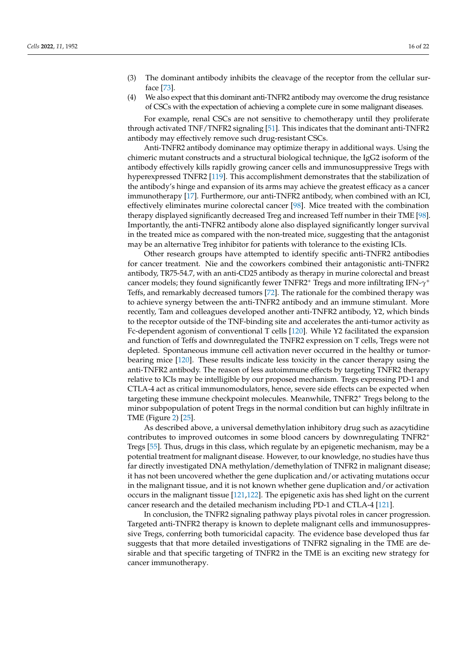- (3) The dominant antibody inhibits the cleavage of the receptor from the cellular surface [\[73\]](#page-19-24).
- (4) We also expect that this dominant anti-TNFR2 antibody may overcome the drug resistance of CSCs with the expectation of achieving a complete cure in some malignant diseases.

For example, renal CSCs are not sensitive to chemotherapy until they proliferate through activated TNF/TNFR2 signaling [\[51\]](#page-18-2). This indicates that the dominant anti-TNFR2 antibody may effectively remove such drug-resistant CSCs.

Anti-TNFR2 antibody dominance may optimize therapy in additional ways. Using the chimeric mutant constructs and a structural biological technique, the IgG2 isoform of the antibody effectively kills rapidly growing cancer cells and immunosuppressive Tregs with hyperexpressed TNFR2 [\[119\]](#page-20-21). This accomplishment demonstrates that the stabilization of the antibody's hinge and expansion of its arms may achieve the greatest efficacy as a cancer immunotherapy [\[17\]](#page-16-16). Furthermore, our anti-TNFR2 antibody, when combined with an ICI, effectively eliminates murine colorectal cancer [\[98\]](#page-20-0). Mice treated with the combination therapy displayed significantly decreased Treg and increased Teff number in their TME [\[98\]](#page-20-0). Importantly, the anti-TNFR2 antibody alone also displayed significantly longer survival in the treated mice as compared with the non-treated mice, suggesting that the antagonist may be an alternative Treg inhibitor for patients with tolerance to the existing ICIs.

Other research groups have attempted to identify specific anti-TNFR2 antibodies for cancer treatment. Nie and the coworkers combined their antagonistic anti-TNFR2 antibody, TR75-54.7, with an anti-CD25 antibody as therapy in murine colorectal and breast cancer models; they found significantly fewer TNFR2<sup>+</sup> Tregs and more infiltrating IFN-*γ* + Teffs, and remarkably decreased tumors [\[72\]](#page-18-22). The rationale for the combined therapy was to achieve synergy between the anti-TNFR2 antibody and an immune stimulant. More recently, Tam and colleagues developed another anti-TNFR2 antibody, Y2, which binds to the receptor outside of the TNF-binding site and accelerates the anti-tumor activity as Fc-dependent agonism of conventional T cells [\[120\]](#page-20-22). While Y2 facilitated the expansion and function of Teffs and downregulated the TNFR2 expression on T cells, Tregs were not depleted. Spontaneous immune cell activation never occurred in the healthy or tumorbearing mice [\[120\]](#page-20-22). These results indicate less toxicity in the cancer therapy using the anti-TNFR2 antibody. The reason of less autoimmune effects by targeting TNFR2 therapy relative to ICIs may be intelligible by our proposed mechanism. Tregs expressing PD-1 and CTLA-4 act as critical immunomodulators, hence, severe side effects can be expected when targeting these immune checkpoint molecules. Meanwhile, TNFR2<sup>+</sup> Tregs belong to the minor subpopulation of potent Tregs in the normal condition but can highly infiltrate in TME (Figure [2\)](#page-6-0) [\[25\]](#page-17-1).

As described above, a universal demethylation inhibitory drug such as azacytidine contributes to improved outcomes in some blood cancers by downregulating TNFR2<sup>+</sup> Tregs [\[55\]](#page-18-6). Thus, drugs in this class, which regulate by an epigenetic mechanism, may be a potential treatment for malignant disease. However, to our knowledge, no studies have thus far directly investigated DNA methylation/demethylation of TNFR2 in malignant disease; it has not been uncovered whether the gene duplication and/or activating mutations occur in the malignant tissue, and it is not known whether gene duplication and/or activation occurs in the malignant tissue [\[121](#page-21-0)[,122\]](#page-21-1). The epigenetic axis has shed light on the current cancer research and the detailed mechanism including PD-1 and CTLA-4 [\[121\]](#page-21-0).

In conclusion, the TNFR2 signaling pathway plays pivotal roles in cancer progression. Targeted anti-TNFR2 therapy is known to deplete malignant cells and immunosuppressive Tregs, conferring both tumoricidal capacity. The evidence base developed thus far suggests that that more detailed investigations of TNFR2 signaling in the TME are desirable and that specific targeting of TNFR2 in the TME is an exciting new strategy for cancer immunotherapy.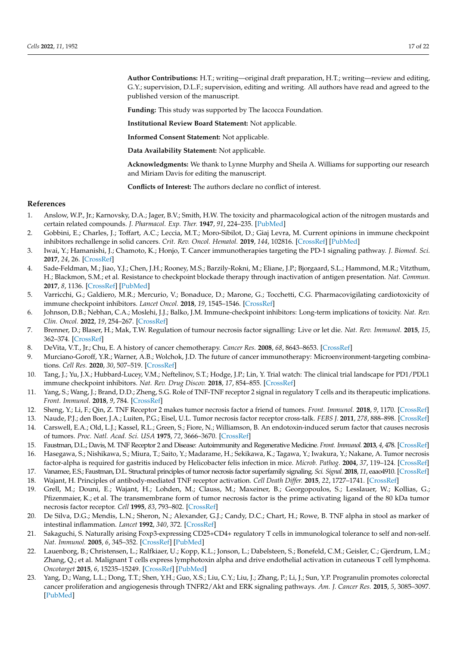**Author Contributions:** H.T.; writing—original draft preparation, H.T.; writing—review and editing, G.Y.; supervision, D.L.F.; supervision, editing and writing. All authors have read and agreed to the published version of the manuscript.

**Funding:** This study was supported by The Iacocca Foundation.

**Institutional Review Board Statement:** Not applicable.

**Informed Consent Statement:** Not applicable.

**Data Availability Statement:** Not applicable.

**Acknowledgments:** We thank to Lynne Murphy and Sheila A. Williams for supporting our research and Miriam Davis for editing the manuscript.

**Conflicts of Interest:** The authors declare no conflict of interest.

#### **References**

- <span id="page-16-0"></span>1. Anslow, W.P., Jr.; Karnovsky, D.A.; Jager, B.V.; Smith, H.W. The toxicity and pharmacological action of the nitrogen mustards and certain related compounds. *J. Pharmacol. Exp. Ther.* **1947**, *91*, 224–235. [\[PubMed\]](http://www.ncbi.nlm.nih.gov/pubmed/20270127)
- <span id="page-16-1"></span>2. Gobbini, E.; Charles, J.; Toffart, A.C.; Leccia, M.T.; Moro-Sibilot, D.; Giaj Levra, M. Current opinions in immune checkpoint inhibitors rechallenge in solid cancers. *Crit. Rev. Oncol. Hematol.* **2019**, *144*, 102816. [\[CrossRef\]](http://doi.org/10.1016/j.critrevonc.2019.102816) [\[PubMed\]](http://www.ncbi.nlm.nih.gov/pubmed/31707222)
- <span id="page-16-2"></span>3. Iwai, Y.; Hamanishi, J.; Chamoto, K.; Honjo, T. Cancer immunotherapies targeting the PD-1 signaling pathway. *J. Biomed. Sci.* **2017**, *24*, 26. [\[CrossRef\]](http://doi.org/10.1186/s12929-017-0329-9)
- <span id="page-16-3"></span>4. Sade-Feldman, M.; Jiao, Y.J.; Chen, J.H.; Rooney, M.S.; Barzily-Rokni, M.; Eliane, J.P.; Bjorgaard, S.L.; Hammond, M.R.; Vitzthum, H.; Blackmon, S.M.; et al. Resistance to checkpoint blockade therapy through inactivation of antigen presentation. *Nat. Commun.* **2017**, *8*, 1136. [\[CrossRef\]](http://doi.org/10.1038/s41467-017-01062-w) [\[PubMed\]](http://www.ncbi.nlm.nih.gov/pubmed/29070816)
- <span id="page-16-4"></span>5. Varricchi, G.; Galdiero, M.R.; Mercurio, V.; Bonaduce, D.; Marone, G.; Tocchetti, C.G. Pharmacovigilating cardiotoxicity of immune checkpoint inhibitors. *Lancet Oncol.* **2018**, *19*, 1545–1546. [\[CrossRef\]](http://doi.org/10.1016/S1470-2045(18)30622-3)
- <span id="page-16-5"></span>6. Johnson, D.B.; Nebhan, C.A.; Moslehi, J.J.; Balko, J.M. Immune-checkpoint inhibitors: Long-term implications of toxicity. *Nat. Rev. Clin. Oncol.* **2022**, *19*, 254–267. [\[CrossRef\]](http://doi.org/10.1038/s41571-022-00600-w)
- <span id="page-16-6"></span>7. Brenner, D.; Blaser, H.; Mak, T.W. Regulation of tumour necrosis factor signalling: Live or let die. *Nat. Rev. Immunol.* **2015**, *15*, 362–374. [\[CrossRef\]](http://doi.org/10.1038/nri3834)
- <span id="page-16-7"></span>8. DeVita, V.T., Jr.; Chu, E. A history of cancer chemotherapy. *Cancer Res.* **2008**, *68*, 8643–8653. [\[CrossRef\]](http://doi.org/10.1158/0008-5472.CAN-07-6611)
- <span id="page-16-8"></span>9. Murciano-Goroff, Y.R.; Warner, A.B.; Wolchok, J.D. The future of cancer immunotherapy: Microenvironment-targeting combinations. *Cell Res.* **2020**, *30*, 507–519. [\[CrossRef\]](http://doi.org/10.1038/s41422-020-0337-2)
- <span id="page-16-9"></span>10. Tang, J.; Yu, J.X.; Hubbard-Lucey, V.M.; Neftelinov, S.T.; Hodge, J.P.; Lin, Y. Trial watch: The clinical trial landscape for PD1/PDL1 immune checkpoint inhibitors. *Nat. Rev. Drug Discov.* **2018**, *17*, 854–855. [\[CrossRef\]](http://doi.org/10.1038/nrd.2018.210)
- <span id="page-16-10"></span>11. Yang, S.; Wang, J.; Brand, D.D.; Zheng, S.G. Role of TNF-TNF receptor 2 signal in regulatory T cells and its therapeutic implications. *Front. Immunol.* **2018**, *9*, 784. [\[CrossRef\]](http://doi.org/10.3389/fimmu.2018.00784)
- <span id="page-16-11"></span>12. Sheng, Y.; Li, F.; Qin, Z. TNF Receptor 2 makes tumor necrosis factor a friend of tumors. *Front. Immunol.* **2018**, *9*, 1170. [\[CrossRef\]](http://doi.org/10.3389/fimmu.2018.01170)
- <span id="page-16-12"></span>13. Naude, P.J.; den Boer, J.A.; Luiten, P.G.; Eisel, U.L. Tumor necrosis factor receptor cross-talk. *FEBS J.* **2011**, *278*, 888–898. [\[CrossRef\]](http://doi.org/10.1111/j.1742-4658.2011.08017.x)
- <span id="page-16-13"></span>14. Carswell, E.A.; Old, L.J.; Kassel, R.L.; Green, S.; Fiore, N.; Williamson, B. An endotoxin-induced serum factor that causes necrosis of tumors. *Proc. Natl. Acad. Sci. USA* **1975**, *72*, 3666–3670. [\[CrossRef\]](http://doi.org/10.1073/pnas.72.9.3666)
- <span id="page-16-14"></span>15. Faustman, D.L.; Davis, M. TNF Receptor 2 and Disease: Autoimmunity and Regenerative Medicine. *Front. Immunol.* **2013**, *4*, 478. [\[CrossRef\]](http://doi.org/10.3389/fimmu.2013.00478)
- <span id="page-16-15"></span>16. Hasegawa, S.; Nishikawa, S.; Miura, T.; Saito, Y.; Madarame, H.; Sekikawa, K.; Tagawa, Y.; Iwakura, Y.; Nakane, A. Tumor necrosis factor-alpha is required for gastritis induced by Helicobacter felis infection in mice. *Microb. Pathog.* **2004**, *37*, 119–124. [\[CrossRef\]](http://doi.org/10.1016/j.micpath.2004.06.004)
- <span id="page-16-16"></span>17. Vanamee, E.S.; Faustman, D.L. Structural principles of tumor necrosis factor superfamily signaling. *Sci. Signal.* **2018**, *11*, eaao4910. [\[CrossRef\]](http://doi.org/10.1126/scisignal.aao4910)
- <span id="page-16-17"></span>18. Wajant, H. Principles of antibody-mediated TNF receptor activation. *Cell Death Differ.* **2015**, *22*, 1727–1741. [\[CrossRef\]](http://doi.org/10.1038/cdd.2015.109)
- <span id="page-16-18"></span>19. Grell, M.; Douni, E.; Wajant, H.; Lohden, M.; Clauss, M.; Maxeiner, B.; Georgopoulos, S.; Lesslauer, W.; Kollias, G.; Pfizenmaier, K.; et al. The transmembrane form of tumor necrosis factor is the prime activating ligand of the 80 kDa tumor necrosis factor receptor. *Cell* **1995**, *83*, 793–802. [\[CrossRef\]](http://doi.org/10.1016/0092-8674(95)90192-2)
- <span id="page-16-19"></span>20. De Silva, D.G.; Mendis, L.N.; Sheron, N.; Alexander, G.J.; Candy, D.C.; Chart, H.; Rowe, B. TNF alpha in stool as marker of intestinal inflammation. *Lancet* **1992**, *340*, 372. [\[CrossRef\]](http://doi.org/10.1016/0140-6736(92)91446-F)
- <span id="page-16-20"></span>21. Sakaguchi, S. Naturally arising Foxp3-expressing CD25+CD4+ regulatory T cells in immunological tolerance to self and non-self. *Nat. Immunol.* **2005**, *6*, 345–352. [\[CrossRef\]](http://doi.org/10.1038/ni1178) [\[PubMed\]](http://www.ncbi.nlm.nih.gov/pubmed/15785760)
- <span id="page-16-21"></span>22. Lauenborg, B.; Christensen, L.; Ralfkiaer, U.; Kopp, K.L.; Jonson, L.; Dabelsteen, S.; Bonefeld, C.M.; Geisler, C.; Gjerdrum, L.M.; Zhang, Q.; et al. Malignant T cells express lymphotoxin alpha and drive endothelial activation in cutaneous T cell lymphoma. *Oncotarget* **2015**, *6*, 15235–15249. [\[CrossRef\]](http://doi.org/10.18632/oncotarget.3837) [\[PubMed\]](http://www.ncbi.nlm.nih.gov/pubmed/25915535)
- <span id="page-16-22"></span>23. Yang, D.; Wang, L.L.; Dong, T.T.; Shen, Y.H.; Guo, X.S.; Liu, C.Y.; Liu, J.; Zhang, P.; Li, J.; Sun, Y.P. Progranulin promotes colorectal cancer proliferation and angiogenesis through TNFR2/Akt and ERK signaling pathways. *Am. J. Cancer Res.* **2015**, *5*, 3085–3097. [\[PubMed\]](http://www.ncbi.nlm.nih.gov/pubmed/26693061)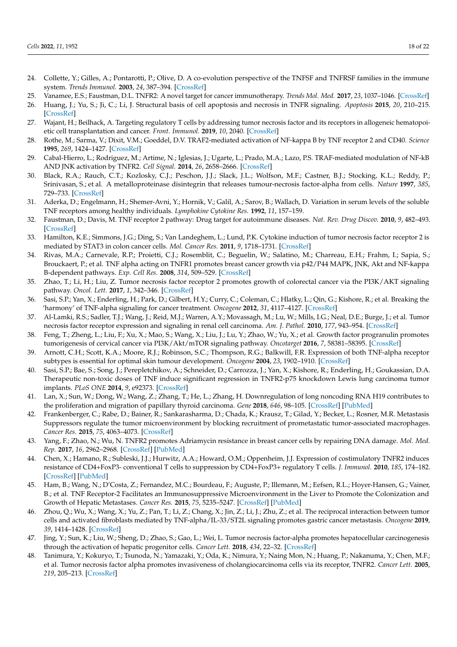- <span id="page-17-0"></span>24. Collette, Y.; Gilles, A.; Pontarotti, P.; Olive, D. A co-evolution perspective of the TNFSF and TNFRSF families in the immune system. *Trends Immunol.* **2003**, *24*, 387–394. [\[CrossRef\]](http://doi.org/10.1016/S1471-4906(03)00166-2)
- <span id="page-17-1"></span>25. Vanamee, E.S.; Faustman, D.L. TNFR2: A novel target for cancer immunotherapy. *Trends Mol. Med.* **2017**, *23*, 1037–1046. [\[CrossRef\]](http://doi.org/10.1016/j.molmed.2017.09.007)
- <span id="page-17-2"></span>26. Huang, J.; Yu, S.; Ji, C.; Li, J. Structural basis of cell apoptosis and necrosis in TNFR signaling. *Apoptosis* **2015**, *20*, 210–215. [\[CrossRef\]](http://doi.org/10.1007/s10495-014-1061-5)
- <span id="page-17-3"></span>27. Wajant, H.; Beilhack, A. Targeting regulatory T cells by addressing tumor necrosis factor and its receptors in allogeneic hematopoietic cell transplantation and cancer. *Front. Immunol.* **2019**, *10*, 2040. [\[CrossRef\]](http://doi.org/10.3389/fimmu.2019.02040)
- <span id="page-17-4"></span>28. Rothe, M.; Sarma, V.; Dixit, V.M.; Goeddel, D.V. TRAF2-mediated activation of NF-kappa B by TNF receptor 2 and CD40. *Science* **1995**, *269*, 1424–1427. [\[CrossRef\]](http://doi.org/10.1126/science.7544915)
- <span id="page-17-5"></span>29. Cabal-Hierro, L.; Rodriguez, M.; Artime, N.; Iglesias, J.; Ugarte, L.; Prado, M.A.; Lazo, P.S. TRAF-mediated modulation of NF-kB AND JNK activation by TNFR2. *Cell Signal.* **2014**, *26*, 2658–2666. [\[CrossRef\]](http://doi.org/10.1016/j.cellsig.2014.08.011)
- <span id="page-17-6"></span>30. Black, R.A.; Rauch, C.T.; Kozlosky, C.J.; Peschon, J.J.; Slack, J.L.; Wolfson, M.F.; Castner, B.J.; Stocking, K.L.; Reddy, P.; Srinivasan, S.; et al. A metalloproteinase disintegrin that releases tumour-necrosis factor-alpha from cells. *Nature* **1997**, *385*, 729–733. [\[CrossRef\]](http://doi.org/10.1038/385729a0)
- <span id="page-17-7"></span>31. Aderka, D.; Engelmann, H.; Shemer-Avni, Y.; Hornik, V.; Galil, A.; Sarov, B.; Wallach, D. Variation in serum levels of the soluble TNF receptors among healthy individuals. *Lymphokine Cytokine Res.* **1992**, *11*, 157–159.
- <span id="page-17-8"></span>32. Faustman, D.; Davis, M. TNF receptor 2 pathway: Drug target for autoimmune diseases. *Nat. Rev. Drug Discov.* **2010**, *9*, 482–493. [\[CrossRef\]](http://doi.org/10.1038/nrd3030)
- <span id="page-17-9"></span>33. Hamilton, K.E.; Simmons, J.G.; Ding, S.; Van Landeghem, L.; Lund, P.K. Cytokine induction of tumor necrosis factor receptor 2 is mediated by STAT3 in colon cancer cells. *Mol. Cancer Res.* **2011**, *9*, 1718–1731. [\[CrossRef\]](http://doi.org/10.1158/1541-7786.MCR-10-0210)
- <span id="page-17-15"></span>34. Rivas, M.A.; Carnevale, R.P.; Proietti, C.J.; Rosemblit, C.; Beguelin, W.; Salatino, M.; Charreau, E.H.; Frahm, I.; Sapia, S.; Brouckaert, P.; et al. TNF alpha acting on TNFR1 promotes breast cancer growth via p42/P44 MAPK, JNK, Akt and NF-kappa B-dependent pathways. *Exp. Cell Res.* **2008**, *314*, 509–529. [\[CrossRef\]](http://doi.org/10.1016/j.yexcr.2007.10.005)
- <span id="page-17-22"></span>35. Zhao, T.; Li, H.; Liu, Z. Tumor necrosis factor receptor 2 promotes growth of colorectal cancer via the PI3K/AKT signaling pathway. *Oncol. Lett.* **2017**, *1*, 342–346. [\[CrossRef\]](http://doi.org/10.3892/ol.2016.5403)
- <span id="page-17-17"></span>36. Sasi, S.P.; Yan, X.; Enderling, H.; Park, D.; Gilbert, H.Y.; Curry, C.; Coleman, C.; Hlatky, L.; Qin, G.; Kishore, R.; et al. Breaking the 'harmony' of TNF-alpha signaling for cancer treatment. *Oncogene* **2012**, *31*, 4117–4127. [\[CrossRef\]](http://doi.org/10.1038/onc.2011.567)
- <span id="page-17-23"></span>37. Al-Lamki, R.S.; Sadler, T.J.; Wang, J.; Reid, M.J.; Warren, A.Y.; Movassagh, M.; Lu, W.; Mills, I.G.; Neal, D.E.; Burge, J.; et al. Tumor necrosis factor receptor expression and signaling in renal cell carcinoma. *Am. J. Pathol.* **2010**, *177*, 943–954. [\[CrossRef\]](http://doi.org/10.2353/ajpath.2010.091218)
- <span id="page-17-24"></span>38. Feng, T.; Zheng, L.; Liu, F.; Xu, X.; Mao, S.; Wang, X.; Liu, J.; Lu, Y.; Zhao, W.; Yu, X.; et al. Growth factor progranulin promotes tumorigenesis of cervical cancer via PI3K/Akt/mTOR signaling pathway. *Oncotarget* **2016**, *7*, 58381–58395. [\[CrossRef\]](http://doi.org/10.18632/oncotarget.11126)
- <span id="page-17-10"></span>39. Arnott, C.H.; Scott, K.A.; Moore, R.J.; Robinson, S.C.; Thompson, R.G.; Balkwill, F.R. Expression of both TNF-alpha receptor subtypes is essential for optimal skin tumour development. *Oncogene* **2004**, *23*, 1902–1910. [\[CrossRef\]](http://doi.org/10.1038/sj.onc.1207317)
- <span id="page-17-11"></span>40. Sasi, S.P.; Bae, S.; Song, J.; Perepletchikov, A.; Schneider, D.; Carrozza, J.; Yan, X.; Kishore, R.; Enderling, H.; Goukassian, D.A. Therapeutic non-toxic doses of TNF induce significant regression in TNFR2-p75 knockdown Lewis lung carcinoma tumor implants. *PLoS ONE* **2014**, *9*, e92373. [\[CrossRef\]](http://doi.org/10.1371/journal.pone.0092373)
- <span id="page-17-12"></span>41. Lan, X.; Sun, W.; Dong, W.; Wang, Z.; Zhang, T.; He, L.; Zhang, H. Downregulation of long noncoding RNA H19 contributes to the proliferation and migration of papillary thyroid carcinoma. *Gene* **2018**, *646*, 98–105. [\[CrossRef\]](http://doi.org/10.1016/j.gene.2017.12.051) [\[PubMed\]](http://www.ncbi.nlm.nih.gov/pubmed/29287713)
- <span id="page-17-13"></span>42. Frankenberger, C.; Rabe, D.; Bainer, R.; Sankarasharma, D.; Chada, K.; Krausz, T.; Gilad, Y.; Becker, L.; Rosner, M.R. Metastasis Suppressors regulate the tumor microenvironment by blocking recruitment of prometastatic tumor-associated macrophages. *Cancer Res.* **2015**, *75*, 4063–4073. [\[CrossRef\]](http://doi.org/10.1158/0008-5472.CAN-14-3394)
- <span id="page-17-14"></span>43. Yang, F.; Zhao, N.; Wu, N. TNFR2 promotes Adriamycin resistance in breast cancer cells by repairing DNA damage. *Mol. Med. Rep.* **2017**, *16*, 2962–2968. [\[CrossRef\]](http://doi.org/10.3892/mmr.2017.6898) [\[PubMed\]](http://www.ncbi.nlm.nih.gov/pubmed/28677724)
- <span id="page-17-16"></span>44. Chen, X.; Hamano, R.; Subleski, J.J.; Hurwitz, A.A.; Howard, O.M.; Oppenheim, J.J. Expression of costimulatory TNFR2 induces resistance of CD4+FoxP3- conventional T cells to suppression by CD4+FoxP3+ regulatory T cells. *J. Immunol.* **2010**, *185*, 174–182. [\[CrossRef\]](http://doi.org/10.4049/jimmunol.0903548) [\[PubMed\]](http://www.ncbi.nlm.nih.gov/pubmed/20525892)
- <span id="page-17-18"></span>45. Ham, B.; Wang, N.; D'Costa, Z.; Fernandez, M.C.; Bourdeau, F.; Auguste, P.; Illemann, M.; Eefsen, R.L.; Hoyer-Hansen, G.; Vainer, B.; et al. TNF Receptor-2 Facilitates an Immunosuppressive Microenvironment in the Liver to Promote the Colonization and Growth of Hepatic Metastases. *Cancer Res.* **2015**, *75*, 5235–5247. [\[CrossRef\]](http://doi.org/10.1158/0008-5472.CAN-14-3173) [\[PubMed\]](http://www.ncbi.nlm.nih.gov/pubmed/26483205)
- <span id="page-17-19"></span>46. Zhou, Q.; Wu, X.; Wang, X.; Yu, Z.; Pan, T.; Li, Z.; Chang, X.; Jin, Z.; Li, J.; Zhu, Z.; et al. The reciprocal interaction between tumor cells and activated fibroblasts mediated by TNF-alpha/IL-33/ST2L signaling promotes gastric cancer metastasis. *Oncogene* **2019**, *39*, 1414–1428. [\[CrossRef\]](http://doi.org/10.1038/s41388-019-1078-x)
- <span id="page-17-20"></span>47. Jing, Y.; Sun, K.; Liu, W.; Sheng, D.; Zhao, S.; Gao, L.; Wei, L. Tumor necrosis factor-alpha promotes hepatocellular carcinogenesis through the activation of hepatic progenitor cells. *Cancer Lett.* **2018**, *434*, 22–32. [\[CrossRef\]](http://doi.org/10.1016/j.canlet.2018.07.001)
- <span id="page-17-21"></span>48. Tanimura, Y.; Kokuryo, T.; Tsunoda, N.; Yamazaki, Y.; Oda, K.; Nimura, Y.; Naing Mon, N.; Huang, P.; Nakanuma, Y.; Chen, M.F.; et al. Tumor necrosis factor alpha promotes invasiveness of cholangiocarcinoma cells via its receptor, TNFR2. *Cancer Lett.* **2005**, *219*, 205–213. [\[CrossRef\]](http://doi.org/10.1016/j.canlet.2004.07.027)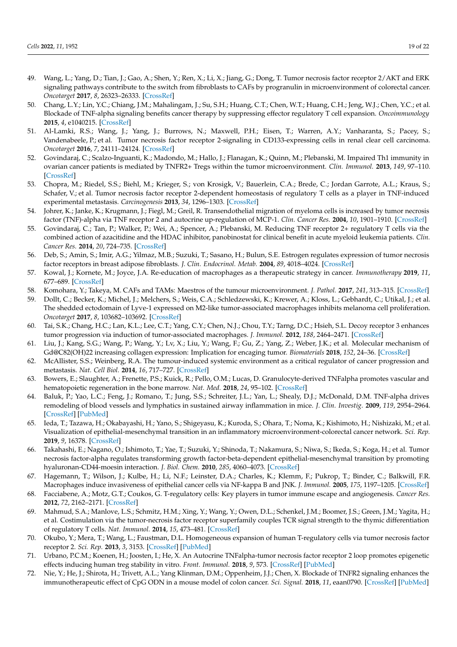- <span id="page-18-0"></span>49. Wang, L.; Yang, D.; Tian, J.; Gao, A.; Shen, Y.; Ren, X.; Li, X.; Jiang, G.; Dong, T. Tumor necrosis factor receptor 2/AKT and ERK signaling pathways contribute to the switch from fibroblasts to CAFs by progranulin in microenvironment of colorectal cancer. *Oncotarget* **2017**, *8*, 26323–26333. [\[CrossRef\]](http://doi.org/10.18632/oncotarget.15461)
- <span id="page-18-1"></span>50. Chang, L.Y.; Lin, Y.C.; Chiang, J.M.; Mahalingam, J.; Su, S.H.; Huang, C.T.; Chen, W.T.; Huang, C.H.; Jeng, W.J.; Chen, Y.C.; et al. Blockade of TNF-alpha signaling benefits cancer therapy by suppressing effector regulatory T cell expansion. *Oncoimmunology* **2015**, *4*, e1040215. [\[CrossRef\]](http://doi.org/10.1080/2162402X.2015.1040215)
- <span id="page-18-2"></span>51. Al-Lamki, R.S.; Wang, J.; Yang, J.; Burrows, N.; Maxwell, P.H.; Eisen, T.; Warren, A.Y.; Vanharanta, S.; Pacey, S.; Vandenabeele, P.; et al. Tumor necrosis factor receptor 2-signaling in CD133-expressing cells in renal clear cell carcinoma. *Oncotarget* **2016**, *7*, 24111–24124. [\[CrossRef\]](http://doi.org/10.18632/oncotarget.8125)
- <span id="page-18-3"></span>52. Govindaraj, C.; Scalzo-Inguanti, K.; Madondo, M.; Hallo, J.; Flanagan, K.; Quinn, M.; Plebanski, M. Impaired Th1 immunity in ovarian cancer patients is mediated by TNFR2+ Tregs within the tumor microenvironment. *Clin. Immunol.* **2013**, *149*, 97–110. [\[CrossRef\]](http://doi.org/10.1016/j.clim.2013.07.003)
- <span id="page-18-4"></span>53. Chopra, M.; Riedel, S.S.; Biehl, M.; Krieger, S.; von Krosigk, V.; Bauerlein, C.A.; Brede, C.; Jordan Garrote, A.L.; Kraus, S.; Schafer, V.; et al. Tumor necrosis factor receptor 2-dependent homeostasis of regulatory T cells as a player in TNF-induced experimental metastasis. *Carcinogenesis* **2013**, *34*, 1296–1303. [\[CrossRef\]](http://doi.org/10.1093/carcin/bgt038)
- <span id="page-18-5"></span>54. Johrer, K.; Janke, K.; Krugmann, J.; Fiegl, M.; Greil, R. Transendothelial migration of myeloma cells is increased by tumor necrosis factor (TNF)-alpha via TNF receptor 2 and autocrine up-regulation of MCP-1. *Clin. Cancer Res.* **2004**, *10*, 1901–1910. [\[CrossRef\]](http://doi.org/10.1158/1078-0432.CCR-1053-03)
- <span id="page-18-6"></span>55. Govindaraj, C.; Tan, P.; Walker, P.; Wei, A.; Spencer, A.; Plebanski, M. Reducing TNF receptor 2+ regulatory T cells via the combined action of azacitidine and the HDAC inhibitor, panobinostat for clinical benefit in acute myeloid leukemia patients. *Clin. Cancer Res.* **2014**, *20*, 724–735. [\[CrossRef\]](http://doi.org/10.1158/1078-0432.CCR-13-1576)
- <span id="page-18-7"></span>56. Deb, S.; Amin, S.; Imir, A.G.; Yilmaz, M.B.; Suzuki, T.; Sasano, H.; Bulun, S.E. Estrogen regulates expression of tumor necrosis factor receptors in breast adipose fibroblasts. *J. Clin. Endocrinol. Metab.* **2004**, *89*, 4018–4024. [\[CrossRef\]](http://doi.org/10.1210/jc.2004-0127)
- <span id="page-18-8"></span>57. Kowal, J.; Kornete, M.; Joyce, J.A. Re-education of macrophages as a therapeutic strategy in cancer. *Immunotherapy* **2019**, *11*, 677–689. [\[CrossRef\]](http://doi.org/10.2217/imt-2018-0156)
- <span id="page-18-9"></span>58. Komohara, Y.; Takeya, M. CAFs and TAMs: Maestros of the tumour microenvironment. *J. Pathol.* **2017**, *241*, 313–315. [\[CrossRef\]](http://doi.org/10.1002/path.4824)
- <span id="page-18-10"></span>59. Dollt, C.; Becker, K.; Michel, J.; Melchers, S.; Weis, C.A.; Schledzewski, K.; Krewer, A.; Kloss, L.; Gebhardt, C.; Utikal, J.; et al. The shedded ectodomain of Lyve-1 expressed on M2-like tumor-associated macrophages inhibits melanoma cell proliferation. *Oncotarget* **2017**, *8*, 103682–103692. [\[CrossRef\]](http://doi.org/10.18632/oncotarget.21771)
- <span id="page-18-11"></span>60. Tai, S.K.; Chang, H.C.; Lan, K.L.; Lee, C.T.; Yang, C.Y.; Chen, N.J.; Chou, T.Y.; Tarng, D.C.; Hsieh, S.L. Decoy receptor 3 enhances tumor progression via induction of tumor-associated macrophages. *J. Immunol.* **2012**, *188*, 2464–2471. [\[CrossRef\]](http://doi.org/10.4049/jimmunol.1101101)
- <span id="page-18-12"></span>61. Liu, J.; Kang, S.G.; Wang, P.; Wang, Y.; Lv, X.; Liu, Y.; Wang, F.; Gu, Z.; Yang, Z.; Weber, J.K.; et al. Molecular mechanism of Gd@C82(OH)22 increasing collagen expression: Implication for encaging tumor. *Biomaterials* **2018**, *152*, 24–36. [\[CrossRef\]](http://doi.org/10.1016/j.biomaterials.2017.10.027)
- <span id="page-18-13"></span>62. McAllister, S.S.; Weinberg, R.A. The tumour-induced systemic environment as a critical regulator of cancer progression and metastasis. *Nat. Cell Biol.* **2014**, *16*, 717–727. [\[CrossRef\]](http://doi.org/10.1038/ncb3015)
- <span id="page-18-14"></span>63. Bowers, E.; Slaughter, A.; Frenette, P.S.; Kuick, R.; Pello, O.M.; Lucas, D. Granulocyte-derived TNFalpha promotes vascular and hematopoietic regeneration in the bone marrow. *Nat. Med.* **2018**, *24*, 95–102. [\[CrossRef\]](http://doi.org/10.1038/nm.4448)
- <span id="page-18-15"></span>64. Baluk, P.; Yao, L.C.; Feng, J.; Romano, T.; Jung, S.S.; Schreiter, J.L.; Yan, L.; Shealy, D.J.; McDonald, D.M. TNF-alpha drives remodeling of blood vessels and lymphatics in sustained airway inflammation in mice. *J. Clin. Investig.* **2009**, *119*, 2954–2964. [\[CrossRef\]](http://doi.org/10.1172/JCI37626) [\[PubMed\]](http://www.ncbi.nlm.nih.gov/pubmed/19759514)
- <span id="page-18-16"></span>65. Ieda, T.; Tazawa, H.; Okabayashi, H.; Yano, S.; Shigeyasu, K.; Kuroda, S.; Ohara, T.; Noma, K.; Kishimoto, H.; Nishizaki, M.; et al. Visualization of epithelial-mesenchymal transition in an inflammatory microenvironment-colorectal cancer network. *Sci. Rep.* **2019**, *9*, 16378. [\[CrossRef\]](http://doi.org/10.1038/s41598-019-52816-z)
- <span id="page-18-17"></span>66. Takahashi, E.; Nagano, O.; Ishimoto, T.; Yae, T.; Suzuki, Y.; Shinoda, T.; Nakamura, S.; Niwa, S.; Ikeda, S.; Koga, H.; et al. Tumor necrosis factor-alpha regulates transforming growth factor-beta-dependent epithelial-mesenchymal transition by promoting hyaluronan-CD44-moesin interaction. *J. Biol. Chem.* **2010**, *285*, 4060–4073. [\[CrossRef\]](http://doi.org/10.1074/jbc.M109.056523)
- <span id="page-18-18"></span>67. Hagemann, T.; Wilson, J.; Kulbe, H.; Li, N.F.; Leinster, D.A.; Charles, K.; Klemm, F.; Pukrop, T.; Binder, C.; Balkwill, F.R. Macrophages induce invasiveness of epithelial cancer cells via NF-kappa B and JNK. *J. Immunol.* **2005**, *175*, 1197–1205. [\[CrossRef\]](http://doi.org/10.4049/jimmunol.175.2.1197)
- <span id="page-18-19"></span>68. Facciabene, A.; Motz, G.T.; Coukos, G. T-regulatory cells: Key players in tumor immune escape and angiogenesis. *Cancer Res.* **2012**, *72*, 2162–2171. [\[CrossRef\]](http://doi.org/10.1158/0008-5472.CAN-11-3687)
- <span id="page-18-20"></span>69. Mahmud, S.A.; Manlove, L.S.; Schmitz, H.M.; Xing, Y.; Wang, Y.; Owen, D.L.; Schenkel, J.M.; Boomer, J.S.; Green, J.M.; Yagita, H.; et al. Costimulation via the tumor-necrosis factor receptor superfamily couples TCR signal strength to the thymic differentiation of regulatory T cells. *Nat. Immunol.* **2014**, *15*, 473–481. [\[CrossRef\]](http://doi.org/10.1038/ni.2849)
- <span id="page-18-23"></span>70. Okubo, Y.; Mera, T.; Wang, L.; Faustman, D.L. Homogeneous expansion of human T-regulatory cells via tumor necrosis factor receptor 2. *Sci. Rep.* **2013**, *3*, 3153. [\[CrossRef\]](http://doi.org/10.1038/srep03153) [\[PubMed\]](http://www.ncbi.nlm.nih.gov/pubmed/24193319)
- <span id="page-18-21"></span>71. Urbano, P.C.M.; Koenen, H.; Joosten, I.; He, X. An Autocrine TNFalpha-tumor necrosis factor receptor 2 loop promotes epigenetic effects inducing human treg stability in vitro. *Front. Immunol.* **2018**, *9*, 573. [\[CrossRef\]](http://doi.org/10.3389/fimmu.2018.00573) [\[PubMed\]](http://www.ncbi.nlm.nih.gov/pubmed/29619032)
- <span id="page-18-22"></span>72. Nie, Y.; He, J.; Shirota, H.; Trivett, A.L.; Yang Klinman, D.M.; Oppenheim, J.J.; Chen, X. Blockade of TNFR2 signaling enhances the immunotherapeutic effect of CpG ODN in a mouse model of colon cancer. *Sci. Signal.* **2018**, *11*, eaan0790. [\[CrossRef\]](http://doi.org/10.1126/scisignal.aan0790) [\[PubMed\]](http://www.ncbi.nlm.nih.gov/pubmed/29295954)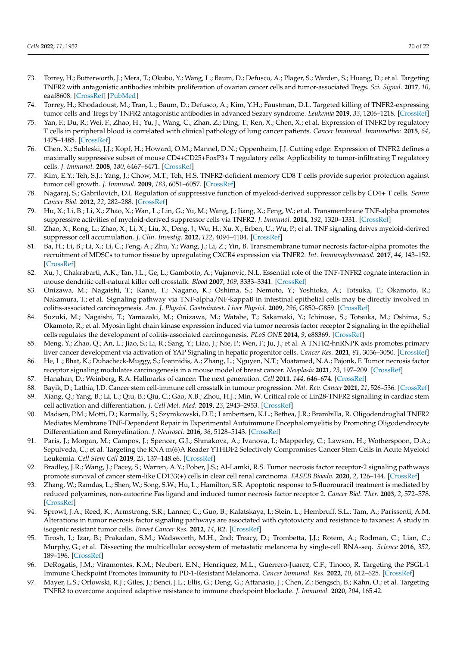- <span id="page-19-24"></span>73. Torrey, H.; Butterworth, J.; Mera, T.; Okubo, Y.; Wang, L.; Baum, D.; Defusco, A.; Plager, S.; Warden, S.; Huang, D.; et al. Targeting TNFR2 with antagonistic antibodies inhibits proliferation of ovarian cancer cells and tumor-associated Tregs. *Sci. Signal.* **2017**, *10*, eaaf8608. [\[CrossRef\]](http://doi.org/10.1126/scisignal.aaf8608) [\[PubMed\]](http://www.ncbi.nlm.nih.gov/pubmed/28096513)
- <span id="page-19-23"></span>74. Torrey, H.; Khodadoust, M.; Tran, L.; Baum, D.; Defusco, A.; Kim, Y.H.; Faustman, D.L. Targeted killing of TNFR2-expressing tumor cells and Tregs by TNFR2 antagonistic antibodies in advanced Sezary syndrome. *Leukemia* **2019**, *33*, 1206–1218. [\[CrossRef\]](http://doi.org/10.1038/s41375-018-0292-9)
- <span id="page-19-0"></span>75. Yan, F.; Du, R.; Wei, F.; Zhao, H.; Yu, J.; Wang, C.; Zhan, Z.; Ding, T.; Ren, X.; Chen, X.; et al. Expression of TNFR2 by regulatory T cells in peripheral blood is correlated with clinical pathology of lung cancer patients. *Cancer Immunol. Immunother.* **2015**, *64*, 1475–1485. [\[CrossRef\]](http://doi.org/10.1007/s00262-015-1751-z)
- <span id="page-19-1"></span>76. Chen, X.; Subleski, J.J.; Kopf, H.; Howard, O.M.; Mannel, D.N.; Oppenheim, J.J. Cutting edge: Expression of TNFR2 defines a maximally suppressive subset of mouse CD4+CD25+FoxP3+ T regulatory cells: Applicability to tumor-infiltrating T regulatory cells. *J. Immunol.* **2008**, *180*, 6467–6471. [\[CrossRef\]](http://doi.org/10.4049/jimmunol.180.10.6467)
- <span id="page-19-2"></span>77. Kim, E.Y.; Teh, S.J.; Yang, J.; Chow, M.T.; Teh, H.S. TNFR2-deficient memory CD8 T cells provide superior protection against tumor cell growth. *J. Immunol.* **2009**, *183*, 6051–6057. [\[CrossRef\]](http://doi.org/10.4049/jimmunol.0803482)
- <span id="page-19-3"></span>78. Nagaraj, S.; Gabrilovich, D.I. Regulation of suppressive function of myeloid-derived suppressor cells by CD4+ T cells. *Semin Cancer Biol.* **2012**, *22*, 282–288. [\[CrossRef\]](http://doi.org/10.1016/j.semcancer.2012.01.010)
- <span id="page-19-4"></span>79. Hu, X.; Li, B.; Li, X.; Zhao, X.; Wan, L.; Lin, G.; Yu, M.; Wang, J.; Jiang, X.; Feng, W.; et al. Transmembrane TNF-alpha promotes suppressive activities of myeloid-derived suppressor cells via TNFR2. *J. Immunol.* **2014**, *192*, 1320–1331. [\[CrossRef\]](http://doi.org/10.4049/jimmunol.1203195)
- <span id="page-19-5"></span>80. Zhao, X.; Rong, L.; Zhao, X.; Li, X.; Liu, X.; Deng, J.; Wu, H.; Xu, X.; Erben, U.; Wu, P.; et al. TNF signaling drives myeloid-derived suppressor cell accumulation. *J. Clin. Investig.* **2012**, *122*, 4094–4104. [\[CrossRef\]](http://doi.org/10.1172/JCI64115)
- <span id="page-19-6"></span>81. Ba, H.; Li, B.; Li, X.; Li, C.; Feng, A.; Zhu, Y.; Wang, J.; Li, Z.; Yin, B. Transmembrane tumor necrosis factor-alpha promotes the recruitment of MDSCs to tumor tissue by upregulating CXCR4 expression via TNFR2. *Int. Immunopharmacol.* **2017**, *44*, 143–152. [\[CrossRef\]](http://doi.org/10.1016/j.intimp.2016.12.028)
- <span id="page-19-7"></span>82. Xu, J.; Chakrabarti, A.K.; Tan, J.L.; Ge, L.; Gambotto, A.; Vujanovic, N.L. Essential role of the TNF-TNFR2 cognate interaction in mouse dendritic cell-natural killer cell crosstalk. *Blood* **2007**, *109*, 3333–3341. [\[CrossRef\]](http://doi.org/10.1182/blood-2006-06-026385)
- <span id="page-19-8"></span>83. Onizawa, M.; Nagaishi, T.; Kanai, T.; Nagano, K.; Oshima, S.; Nemoto, Y.; Yoshioka, A.; Totsuka, T.; Okamoto, R.; Nakamura, T.; et al. Signaling pathway via TNF-alpha/NF-kappaB in intestinal epithelial cells may be directly involved in colitis-associated carcinogenesis. *Am. J. Physiol. Gastrointest. Liver Physiol.* **2009**, *296*, G850–G859. [\[CrossRef\]](http://doi.org/10.1152/ajpgi.00071.2008)
- <span id="page-19-9"></span>84. Suzuki, M.; Nagaishi, T.; Yamazaki, M.; Onizawa, M.; Watabe, T.; Sakamaki, Y.; Ichinose, S.; Totsuka, M.; Oshima, S.; Okamoto, R.; et al. Myosin light chain kinase expression induced via tumor necrosis factor receptor 2 signaling in the epithelial cells regulates the development of colitis-associated carcinogenesis. *PLoS ONE* **2014**, *9*, e88369. [\[CrossRef\]](http://doi.org/10.1371/journal.pone.0088369)
- <span id="page-19-10"></span>85. Meng, Y.; Zhao, Q.; An, L.; Jiao, S.; Li, R.; Sang, Y.; Liao, J.; Nie, P.; Wen, F.; Ju, J.; et al. A TNFR2-hnRNPK axis promotes primary liver cancer development via activation of YAP Signaling in hepatic progenitor cells. *Cancer Res.* **2021**, *81*, 3036–3050. [\[CrossRef\]](http://doi.org/10.1158/0008-5472.CAN-20-3175)
- <span id="page-19-11"></span>86. He, L.; Bhat, K.; Duhacheck-Muggy, S.; Ioannidis, A.; Zhang, L.; Nguyen, N.T.; Moatamed, N.A.; Pajonk, F. Tumor necrosis factor receptor signaling modulates carcinogenesis in a mouse model of breast cancer. *Neoplasia* **2021**, *23*, 197–209. [\[CrossRef\]](http://doi.org/10.1016/j.neo.2020.12.007)
- <span id="page-19-12"></span>87. Hanahan, D.; Weinberg, R.A. Hallmarks of cancer: The next generation. *Cell* **2011**, *144*, 646–674. [\[CrossRef\]](http://doi.org/10.1016/j.cell.2011.02.013)
- <span id="page-19-13"></span>88. Bayik, D.; Lathia, J.D. Cancer stem cell-immune cell crosstalk in tumour progression. *Nat. Rev. Cancer* **2021**, *21*, 526–536. [\[CrossRef\]](http://doi.org/10.1038/s41568-021-00366-w)
- <span id="page-19-14"></span>89. Xiang, Q.; Yang, B.; Li, L.; Qiu, B.; Qiu, C.; Gao, X.B.; Zhou, H.J.; Min, W. Critical role of Lin28-TNFR2 signalling in cardiac stem cell activation and differentiation. *J. Cell Mol. Med.* **2019**, *23*, 2943–2953. [\[CrossRef\]](http://doi.org/10.1111/jcmm.14202)
- <span id="page-19-15"></span>90. Madsen, P.M.; Motti, D.; Karmally, S.; Szymkowski, D.E.; Lambertsen, K.L.; Bethea, J.R.; Brambilla, R. Oligodendroglial TNFR2 Mediates Membrane TNF-Dependent Repair in Experimental Autoimmune Encephalomyelitis by Promoting Oligodendrocyte Differentiation and Remyelination. *J. Neurosci.* **2016**, *36*, 5128–5143. [\[CrossRef\]](http://doi.org/10.1523/JNEUROSCI.0211-16.2016)
- <span id="page-19-16"></span>91. Paris, J.; Morgan, M.; Campos, J.; Spencer, G.J.; Shmakova, A.; Ivanova, I.; Mapperley, C.; Lawson, H.; Wotherspoon, D.A.; Sepulveda, C.; et al. Targeting the RNA m(6)A Reader YTHDF2 Selectively Compromises Cancer Stem Cells in Acute Myeloid Leukemia. *Cell Stem Cell* **2019**, *25*, 137–148.e6. [\[CrossRef\]](http://doi.org/10.1016/j.stem.2019.03.021)
- <span id="page-19-17"></span>92. Bradley, J.R.; Wang, J.; Pacey, S.; Warren, A.Y.; Pober, J.S.; Al-Lamki, R.S. Tumor necrosis factor receptor-2 signaling pathways promote survival of cancer stem-like CD133(+) cells in clear cell renal carcinoma. *FASEB Bioadv.* **2020**, *2*, 126–144. [\[CrossRef\]](http://doi.org/10.1096/fba.2019-00071)
- <span id="page-19-18"></span>93. Zhang, W.; Ramdas, L.; Shen, W.; Song, S.W.; Hu, L.; Hamilton, S.R. Apoptotic response to 5-fluorouracil treatment is mediated by reduced polyamines, non-autocrine Fas ligand and induced tumor necrosis factor receptor 2. *Cancer Biol. Ther.* **2003**, *2*, 572–578. [\[CrossRef\]](http://doi.org/10.4161/cbt.2.5.532)
- <span id="page-19-19"></span>94. Sprowl, J.A.; Reed, K.; Armstrong, S.R.; Lanner, C.; Guo, B.; Kalatskaya, I.; Stein, L.; Hembruff, S.L.; Tam, A.; Parissenti, A.M. Alterations in tumor necrosis factor signaling pathways are associated with cytotoxicity and resistance to taxanes: A study in isogenic resistant tumor cells. *Breast Cancer Res.* **2012**, *14*, R2. [\[CrossRef\]](http://doi.org/10.1186/bcr3083)
- <span id="page-19-20"></span>95. Tirosh, I.; Izar, B.; Prakadan, S.M.; Wadsworth, M.H., 2nd; Treacy, D.; Trombetta, J.J.; Rotem, A.; Rodman, C.; Lian, C.; Murphy, G.; et al. Dissecting the multicellular ecosystem of metastatic melanoma by single-cell RNA-seq. *Science* **2016**, *352*, 189–196. [\[CrossRef\]](http://doi.org/10.1126/science.aad0501)
- <span id="page-19-21"></span>96. DeRogatis, J.M.; Viramontes, K.M.; Neubert, E.N.; Henriquez, M.L.; Guerrero-Juarez, C.F.; Tinoco, R. Targeting the PSGL-1 Immune Checkpoint Promotes Immunity to PD-1-Resistant Melanoma. *Cancer Immunol. Res.* **2022**, *10*, 612–625. [\[CrossRef\]](http://doi.org/10.1158/2326-6066.CIR-21-0690)
- <span id="page-19-22"></span>97. Mayer, L.S.; Orlowski, R.J.; Giles, J.; Benci, J.L.; Ellis, G.; Deng, G.; Attanasio, J.; Chen, Z.; Bengsch, B.; Kahn, O.; et al. Targeting TNFR2 to overcome acquired adaptive resistance to immune checkpoint blockade. *J. Immunol.* **2020**, *204*, 165.42.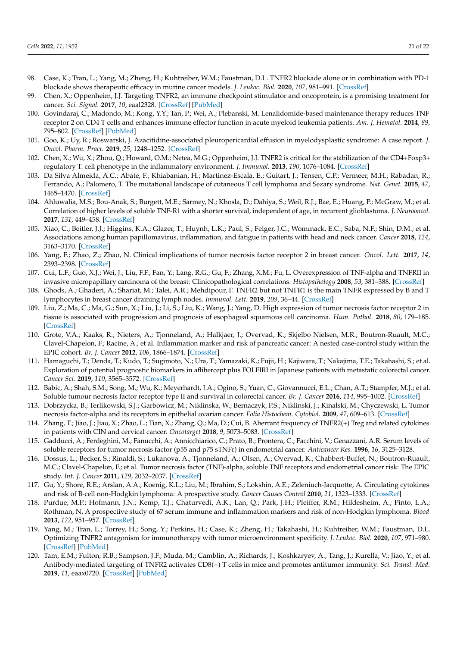- <span id="page-20-0"></span>98. Case, K.; Tran, L.; Yang, M.; Zheng, H.; Kuhtreiber, W.M.; Faustman, D.L. TNFR2 blockade alone or in combination with PD-1 blockade shows therapeutic efficacy in murine cancer models. *J. Leukoc. Biol.* **2020**, *107*, 981–991. [\[CrossRef\]](http://doi.org/10.1002/JLB.5MA0420-375RRRRR)
- <span id="page-20-1"></span>99. Chen, X.; Oppenheim, J.J. Targeting TNFR2, an immune checkpoint stimulator and oncoprotein, is a promising treatment for cancer. *Sci. Signal.* **2017**, *10*, eaal2328. [\[CrossRef\]](http://doi.org/10.1126/scisignal.aal2328) [\[PubMed\]](http://www.ncbi.nlm.nih.gov/pubmed/28096506)
- <span id="page-20-2"></span>100. Govindaraj, C.; Madondo, M.; Kong, Y.Y.; Tan, P.; Wei, A.; Plebanski, M. Lenalidomide-based maintenance therapy reduces TNF receptor 2 on CD4 T cells and enhances immune effector function in acute myeloid leukemia patients. *Am. J. Hematol.* **2014**, *89*, 795–802. [\[CrossRef\]](http://doi.org/10.1002/ajh.23746) [\[PubMed\]](http://www.ncbi.nlm.nih.gov/pubmed/24757092)
- <span id="page-20-3"></span>101. Goo, K.; Uy, R.; Roswarski, J. Azacitidine-associated pleuropericardial effusion in myelodysplastic syndrome: A case report. *J. Oncol. Pharm. Pract.* **2019**, *25*, 1248–1252. [\[CrossRef\]](http://doi.org/10.1177/1078155218784762)
- <span id="page-20-4"></span>102. Chen, X.; Wu, X.; Zhou, Q.; Howard, O.M.; Netea, M.G.; Oppenheim, J.J. TNFR2 is critical for the stabilization of the CD4+Foxp3+ regulatory T. cell phenotype in the inflammatory environment. *J. Immunol.* **2013**, *190*, 1076–1084. [\[CrossRef\]](http://doi.org/10.4049/jimmunol.1202659)
- <span id="page-20-5"></span>103. Da Silva Almeida, A.C.; Abate, F.; Khiabanian, H.; Martinez-Escala, E.; Guitart, J.; Tensen, C.P.; Vermeer, M.H.; Rabadan, R.; Ferrando, A.; Palomero, T. The mutational landscape of cutaneous T cell lymphoma and Sezary syndrome. *Nat. Genet.* **2015**, *47*, 1465–1470. [\[CrossRef\]](http://doi.org/10.1038/ng.3442)
- <span id="page-20-6"></span>104. Ahluwalia, M.S.; Bou-Anak, S.; Burgett, M.E.; Sarmey, N.; Khosla, D.; Dahiya, S.; Weil, R.J.; Bae, E.; Huang, P.; McGraw, M.; et al. Correlation of higher levels of soluble TNF-R1 with a shorter survival, independent of age, in recurrent glioblastoma. *J. Neurooncol.* **2017**, *131*, 449–458. [\[CrossRef\]](http://doi.org/10.1007/s11060-016-2319-2)
- <span id="page-20-7"></span>105. Xiao, C.; Beitler, J.J.; Higgins, K.A.; Glazer, T.; Huynh, L.K.; Paul, S.; Felger, J.C.; Wommack, E.C.; Saba, N.F.; Shin, D.M.; et al. Associations among human papillomavirus, inflammation, and fatigue in patients with head and neck cancer. *Cancer* **2018**, *124*, 3163–3170. [\[CrossRef\]](http://doi.org/10.1002/cncr.31537)
- <span id="page-20-8"></span>106. Yang, F.; Zhao, Z.; Zhao, N. Clinical implications of tumor necrosis factor receptor 2 in breast cancer. *Oncol. Lett.* **2017**, *14*, 2393–2398. [\[CrossRef\]](http://doi.org/10.3892/ol.2017.6410)
- <span id="page-20-9"></span>107. Cui, L.F.; Guo, X.J.; Wei, J.; Liu, F.F.; Fan, Y.; Lang, R.G.; Gu, F.; Zhang, X.M.; Fu, L. Overexpression of TNF-alpha and TNFRII in invasive micropapillary carcinoma of the breast: Clinicopathological correlations. *Histopathology* **2008**, *53*, 381–388. [\[CrossRef\]](http://doi.org/10.1111/j.1365-2559.2008.03128.x)
- <span id="page-20-10"></span>108. Ghods, A.; Ghaderi, A.; Shariat, M.; Talei, A.R.; Mehdipour, F. TNFR2 but not TNFR1 is the main TNFR expressed by B and T lymphocytes in breast cancer draining lymph nodes. *Immunol. Lett.* **2019**, *209*, 36–44. [\[CrossRef\]](http://doi.org/10.1016/j.imlet.2019.03.013)
- <span id="page-20-11"></span>109. Liu, Z.; Ma, C.; Ma, G.; Sun, X.; Liu, J.; Li, S.; Liu, K.; Wang, J.; Yang, D. High expression of tumor necrosis factor receptor 2 in tissue is associated with progression and prognosis of esophageal squamous cell carcinoma. *Hum. Pathol.* **2018**, *80*, 179–185. [\[CrossRef\]](http://doi.org/10.1016/j.humpath.2018.03.027)
- <span id="page-20-12"></span>110. Grote, V.A.; Kaaks, R.; Nieters, A.; Tjonneland, A.; Halkjaer, J.; Overvad, K.; Skjelbo Nielsen, M.R.; Boutron-Ruault, M.C.; Clavel-Chapelon, F.; Racine, A.; et al. Inflammation marker and risk of pancreatic cancer: A nested case-control study within the EPIC cohort. *Br. J. Cancer* **2012**, *106*, 1866–1874. [\[CrossRef\]](http://doi.org/10.1038/bjc.2012.172)
- <span id="page-20-13"></span>111. Hamaguchi, T.; Denda, T.; Kudo, T.; Sugimoto, N.; Ura, T.; Yamazaki, K.; Fujii, H.; Kajiwara, T.; Nakajima, T.E.; Takahashi, S.; et al. Exploration of potential prognostic biomarkers in aflibercept plus FOLFIRI in Japanese patients with metastatic colorectal cancer. *Cancer Sci.* **2019**, *110*, 3565–3572. [\[CrossRef\]](http://doi.org/10.1111/cas.14198)
- <span id="page-20-14"></span>112. Babic, A.; Shah, S.M.; Song, M.; Wu, K.; Meyerhardt, J.A.; Ogino, S.; Yuan, C.; Giovannucci, E.L.; Chan, A.T.; Stampfer, M.J.; et al. Soluble tumour necrosis factor receptor type II and survival in colorectal cancer. *Br. J. Cancer* **2016**, *114*, 995–1002. [\[CrossRef\]](http://doi.org/10.1038/bjc.2016.85)
- <span id="page-20-15"></span>113. Dobrzycka, B.; Terlikowski, S.J.; Garbowicz, M.; Niklinska, W.; Bernaczyk, P.S.; Niklinski, J.; Kinalski, M.; Chyczewski, L. Tumor necrosis factor-alpha and its receptors in epithelial ovarian cancer. *Folia Histochem. Cytobiol.* **2009**, *47*, 609–613. [\[CrossRef\]](http://doi.org/10.2478/v10042-008-0117-1)
- <span id="page-20-16"></span>114. Zhang, T.; Jiao, J.; Jiao, X.; Zhao, L.; Tian, X.; Zhang, Q.; Ma, D.; Cui, B. Aberrant frequency of TNFR2(+) Treg and related cytokines in patients with CIN and cervical cancer. *Oncotarget* **2018**, *9*, 5073–5083. [\[CrossRef\]](http://doi.org/10.18632/oncotarget.23581)
- <span id="page-20-17"></span>115. Gadducci, A.; Ferdeghini, M.; Fanucchi, A.; Annicchiarico, C.; Prato, B.; Prontera, C.; Facchini, V.; Genazzani, A.R. Serum levels of soluble receptors for tumor necrosis factor (p55 and p75 sTNFr) in endometrial cancer. *Anticancer Res.* **1996**, *16*, 3125–3128.
- <span id="page-20-18"></span>116. Dossus, L.; Becker, S.; Rinaldi, S.; Lukanova, A.; Tjonneland, A.; Olsen, A.; Overvad, K.; Chabbert-Buffet, N.; Boutron-Ruault, M.C.; Clavel-Chapelon, F.; et al. Tumor necrosis factor (TNF)-alpha, soluble TNF receptors and endometrial cancer risk: The EPIC study. *Int. J. Cancer* **2011**, *129*, 2032–2037. [\[CrossRef\]](http://doi.org/10.1002/ijc.25840)
- <span id="page-20-19"></span>117. Gu, Y.; Shore, R.E.; Arslan, A.A.; Koenig, K.L.; Liu, M.; Ibrahim, S.; Lokshin, A.E.; Zeleniuch-Jacquotte, A. Circulating cytokines and risk of B-cell non-Hodgkin lymphoma: A prospective study. *Cancer Causes Control* **2010**, *21*, 1323–1333. [\[CrossRef\]](http://doi.org/10.1007/s10552-010-9560-3)
- <span id="page-20-20"></span>118. Purdue, M.P.; Hofmann, J.N.; Kemp, T.J.; Chaturvedi, A.K.; Lan, Q.; Park, J.H.; Pfeiffer, R.M.; Hildesheim, A.; Pinto, L.A.; Rothman, N. A prospective study of 67 serum immune and inflammation markers and risk of non-Hodgkin lymphoma. *Blood* **2013**, *122*, 951–957. [\[CrossRef\]](http://doi.org/10.1182/blood-2013-01-481077)
- <span id="page-20-21"></span>119. Yang, M.; Tran, L.; Torrey, H.; Song, Y.; Perkins, H.; Case, K.; Zheng, H.; Takahashi, H.; Kuhtreiber, W.M.; Faustman, D.L. Optimizing TNFR2 antagonism for immunotherapy with tumor microenvironment specificity. *J. Leukoc. Biol.* **2020**, *107*, 971–980. [\[CrossRef\]](http://doi.org/10.1002/JLB.5AB0320-415RRRRR) [\[PubMed\]](http://www.ncbi.nlm.nih.gov/pubmed/32202358)
- <span id="page-20-22"></span>120. Tam, E.M.; Fulton, R.B.; Sampson, J.F.; Muda, M.; Camblin, A.; Richards, J.; Koshkaryev, A.; Tang, J.; Kurella, V.; Jiao, Y.; et al. Antibody-mediated targeting of TNFR2 activates CD8(+) T cells in mice and promotes antitumor immunity. *Sci. Transl. Med.* **2019**, *11*, eaax0720. [\[CrossRef\]](http://doi.org/10.1126/scitranslmed.aax0720) [\[PubMed\]](http://www.ncbi.nlm.nih.gov/pubmed/31578241)